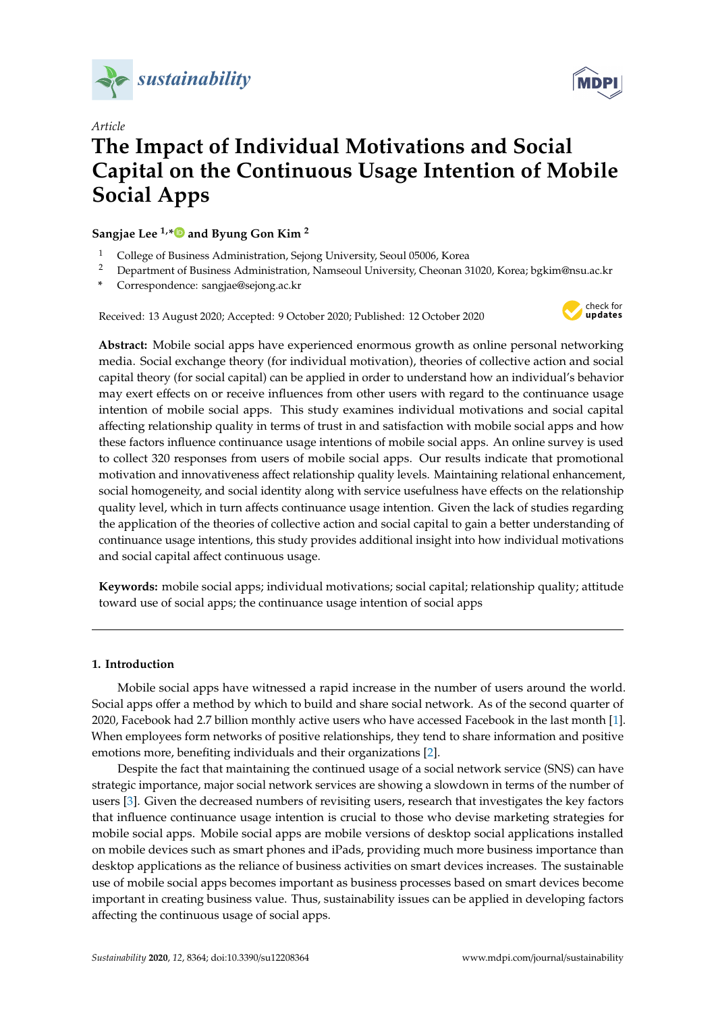





# **The Impact of Individual Motivations and Social Capital on the Continuous Usage Intention of Mobile Social Apps**

**Sangjae Lee 1,[\\*](https://orcid.org/0000-0003-1488-7960) and Byung Gon Kim <sup>2</sup>**

- <sup>1</sup> College of Business Administration, Sejong University, Seoul 05006, Korea
- <sup>2</sup> Department of Business Administration, Namseoul University, Cheonan 31020, Korea; bgkim@nsu.ac.kr
- **\*** Correspondence: sangjae@sejong.ac.kr

Received: 13 August 2020; Accepted: 9 October 2020; Published: 12 October 2020



**Abstract:** Mobile social apps have experienced enormous growth as online personal networking media. Social exchange theory (for individual motivation), theories of collective action and social capital theory (for social capital) can be applied in order to understand how an individual's behavior may exert effects on or receive influences from other users with regard to the continuance usage intention of mobile social apps. This study examines individual motivations and social capital affecting relationship quality in terms of trust in and satisfaction with mobile social apps and how these factors influence continuance usage intentions of mobile social apps. An online survey is used to collect 320 responses from users of mobile social apps. Our results indicate that promotional motivation and innovativeness affect relationship quality levels. Maintaining relational enhancement, social homogeneity, and social identity along with service usefulness have effects on the relationship quality level, which in turn affects continuance usage intention. Given the lack of studies regarding the application of the theories of collective action and social capital to gain a better understanding of continuance usage intentions, this study provides additional insight into how individual motivations and social capital affect continuous usage.

**Keywords:** mobile social apps; individual motivations; social capital; relationship quality; attitude toward use of social apps; the continuance usage intention of social apps

# **1. Introduction**

Mobile social apps have witnessed a rapid increase in the number of users around the world. Social apps offer a method by which to build and share social network. As of the second quarter of 2020, Facebook had 2.7 billion monthly active users who have accessed Facebook in the last month [\[1\]](#page-24-0). When employees form networks of positive relationships, they tend to share information and positive emotions more, benefiting individuals and their organizations [\[2\]](#page-24-1).

Despite the fact that maintaining the continued usage of a social network service (SNS) can have strategic importance, major social network services are showing a slowdown in terms of the number of users [\[3\]](#page-24-2). Given the decreased numbers of revisiting users, research that investigates the key factors that influence continuance usage intention is crucial to those who devise marketing strategies for mobile social apps. Mobile social apps are mobile versions of desktop social applications installed on mobile devices such as smart phones and iPads, providing much more business importance than desktop applications as the reliance of business activities on smart devices increases. The sustainable use of mobile social apps becomes important as business processes based on smart devices become important in creating business value. Thus, sustainability issues can be applied in developing factors affecting the continuous usage of social apps.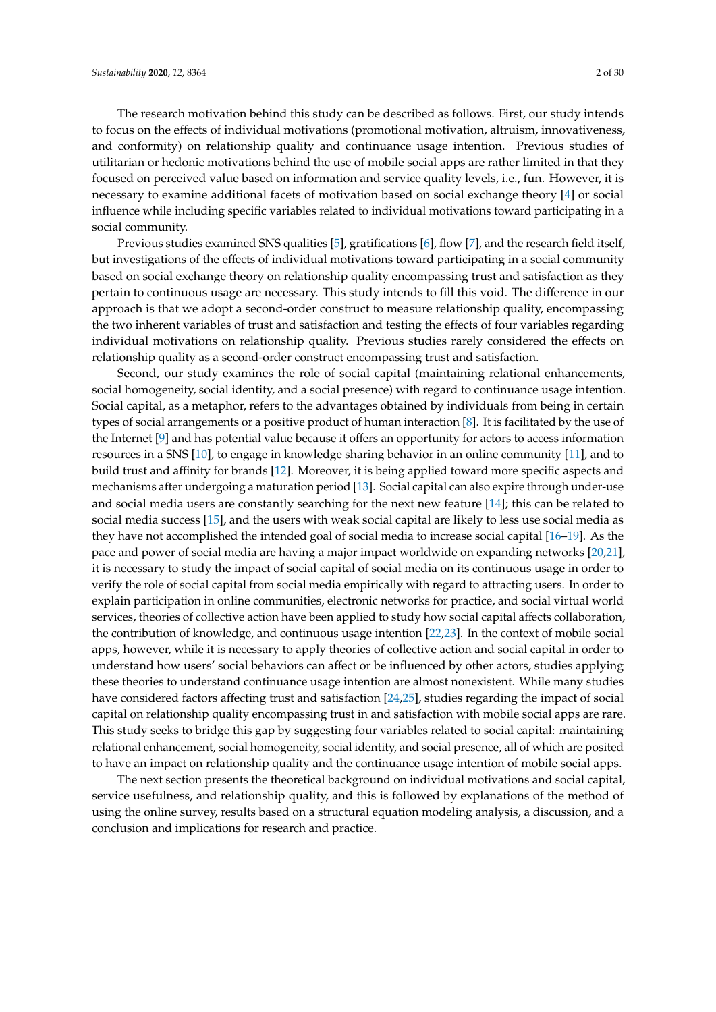The research motivation behind this study can be described as follows. First, our study intends to focus on the effects of individual motivations (promotional motivation, altruism, innovativeness, and conformity) on relationship quality and continuance usage intention. Previous studies of utilitarian or hedonic motivations behind the use of mobile social apps are rather limited in that they focused on perceived value based on information and service quality levels, i.e., fun. However, it is necessary to examine additional facets of motivation based on social exchange theory [\[4\]](#page-24-3) or social influence while including specific variables related to individual motivations toward participating in a social community.

Previous studies examined SNS qualities [\[5\]](#page-24-4), gratifications [\[6\]](#page-24-5), flow [\[7\]](#page-24-6), and the research field itself, but investigations of the effects of individual motivations toward participating in a social community based on social exchange theory on relationship quality encompassing trust and satisfaction as they pertain to continuous usage are necessary. This study intends to fill this void. The difference in our approach is that we adopt a second-order construct to measure relationship quality, encompassing the two inherent variables of trust and satisfaction and testing the effects of four variables regarding individual motivations on relationship quality. Previous studies rarely considered the effects on relationship quality as a second-order construct encompassing trust and satisfaction.

Second, our study examines the role of social capital (maintaining relational enhancements, social homogeneity, social identity, and a social presence) with regard to continuance usage intention. Social capital, as a metaphor, refers to the advantages obtained by individuals from being in certain types of social arrangements or a positive product of human interaction [\[8\]](#page-24-7). It is facilitated by the use of the Internet [\[9\]](#page-24-8) and has potential value because it offers an opportunity for actors to access information resources in a SNS [\[10\]](#page-24-9), to engage in knowledge sharing behavior in an online community [\[11\]](#page-24-10), and to build trust and affinity for brands [\[12\]](#page-24-11). Moreover, it is being applied toward more specific aspects and mechanisms after undergoing a maturation period [\[13\]](#page-24-12). Social capital can also expire through under-use and social media users are constantly searching for the next new feature [\[14\]](#page-24-13); this can be related to social media success [\[15\]](#page-24-14), and the users with weak social capital are likely to less use social media as they have not accomplished the intended goal of social media to increase social capital [\[16–](#page-24-15)[19\]](#page-24-16). As the pace and power of social media are having a major impact worldwide on expanding networks [\[20](#page-24-17)[,21\]](#page-24-18), it is necessary to study the impact of social capital of social media on its continuous usage in order to verify the role of social capital from social media empirically with regard to attracting users. In order to explain participation in online communities, electronic networks for practice, and social virtual world services, theories of collective action have been applied to study how social capital affects collaboration, the contribution of knowledge, and continuous usage intention [\[22,](#page-24-19)[23\]](#page-25-0). In the context of mobile social apps, however, while it is necessary to apply theories of collective action and social capital in order to understand how users' social behaviors can affect or be influenced by other actors, studies applying these theories to understand continuance usage intention are almost nonexistent. While many studies have considered factors affecting trust and satisfaction [\[24](#page-25-1)[,25\]](#page-25-2), studies regarding the impact of social capital on relationship quality encompassing trust in and satisfaction with mobile social apps are rare. This study seeks to bridge this gap by suggesting four variables related to social capital: maintaining relational enhancement, social homogeneity, social identity, and social presence, all of which are posited to have an impact on relationship quality and the continuance usage intention of mobile social apps.

The next section presents the theoretical background on individual motivations and social capital, service usefulness, and relationship quality, and this is followed by explanations of the method of using the online survey, results based on a structural equation modeling analysis, a discussion, and a conclusion and implications for research and practice.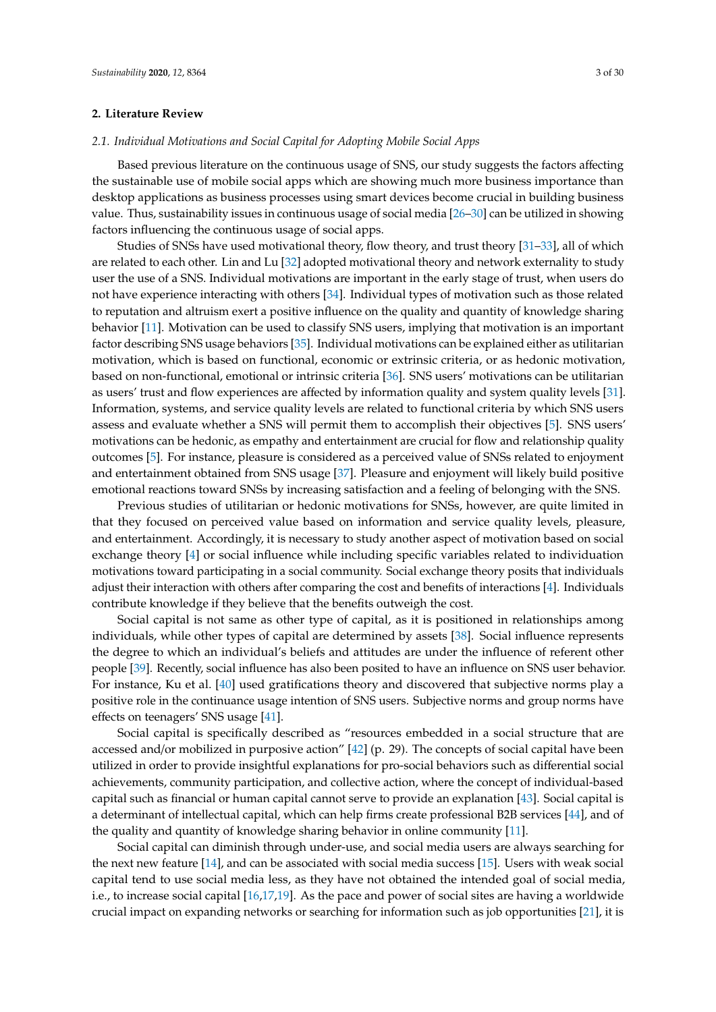#### **2. Literature Review**

# *2.1. Individual Motivations and Social Capital for Adopting Mobile Social Apps*

Based previous literature on the continuous usage of SNS, our study suggests the factors affecting the sustainable use of mobile social apps which are showing much more business importance than desktop applications as business processes using smart devices become crucial in building business value. Thus, sustainability issues in continuous usage of social media [\[26–](#page-25-3)[30\]](#page-25-4) can be utilized in showing factors influencing the continuous usage of social apps.

Studies of SNSs have used motivational theory, flow theory, and trust theory [\[31–](#page-25-5)[33\]](#page-25-6), all of which are related to each other. Lin and Lu [\[32\]](#page-25-7) adopted motivational theory and network externality to study user the use of a SNS. Individual motivations are important in the early stage of trust, when users do not have experience interacting with others [\[34\]](#page-25-8). Individual types of motivation such as those related to reputation and altruism exert a positive influence on the quality and quantity of knowledge sharing behavior [\[11\]](#page-24-10). Motivation can be used to classify SNS users, implying that motivation is an important factor describing SNS usage behaviors [\[35\]](#page-25-9). Individual motivations can be explained either as utilitarian motivation, which is based on functional, economic or extrinsic criteria, or as hedonic motivation, based on non-functional, emotional or intrinsic criteria [\[36\]](#page-25-10). SNS users' motivations can be utilitarian as users' trust and flow experiences are affected by information quality and system quality levels [\[31\]](#page-25-5). Information, systems, and service quality levels are related to functional criteria by which SNS users assess and evaluate whether a SNS will permit them to accomplish their objectives [\[5\]](#page-24-4). SNS users' motivations can be hedonic, as empathy and entertainment are crucial for flow and relationship quality outcomes [\[5\]](#page-24-4). For instance, pleasure is considered as a perceived value of SNSs related to enjoyment and entertainment obtained from SNS usage [\[37\]](#page-25-11). Pleasure and enjoyment will likely build positive emotional reactions toward SNSs by increasing satisfaction and a feeling of belonging with the SNS.

Previous studies of utilitarian or hedonic motivations for SNSs, however, are quite limited in that they focused on perceived value based on information and service quality levels, pleasure, and entertainment. Accordingly, it is necessary to study another aspect of motivation based on social exchange theory [\[4\]](#page-24-3) or social influence while including specific variables related to individuation motivations toward participating in a social community. Social exchange theory posits that individuals adjust their interaction with others after comparing the cost and benefits of interactions [\[4\]](#page-24-3). Individuals contribute knowledge if they believe that the benefits outweigh the cost.

Social capital is not same as other type of capital, as it is positioned in relationships among individuals, while other types of capital are determined by assets [\[38\]](#page-25-12). Social influence represents the degree to which an individual's beliefs and attitudes are under the influence of referent other people [\[39\]](#page-25-13). Recently, social influence has also been posited to have an influence on SNS user behavior. For instance, Ku et al. [\[40\]](#page-25-14) used gratifications theory and discovered that subjective norms play a positive role in the continuance usage intention of SNS users. Subjective norms and group norms have effects on teenagers' SNS usage [\[41\]](#page-25-15).

Social capital is specifically described as "resources embedded in a social structure that are accessed and/or mobilized in purposive action" [\[42\]](#page-25-16) (p. 29). The concepts of social capital have been utilized in order to provide insightful explanations for pro-social behaviors such as differential social achievements, community participation, and collective action, where the concept of individual-based capital such as financial or human capital cannot serve to provide an explanation [\[43\]](#page-25-17). Social capital is a determinant of intellectual capital, which can help firms create professional B2B services [\[44\]](#page-25-18), and of the quality and quantity of knowledge sharing behavior in online community [\[11\]](#page-24-10).

Social capital can diminish through under-use, and social media users are always searching for the next new feature [\[14\]](#page-24-13), and can be associated with social media success [\[15\]](#page-24-14). Users with weak social capital tend to use social media less, as they have not obtained the intended goal of social media, i.e., to increase social capital [\[16,](#page-24-15)[17,](#page-24-20)[19\]](#page-24-16). As the pace and power of social sites are having a worldwide crucial impact on expanding networks or searching for information such as job opportunities [\[21\]](#page-24-18), it is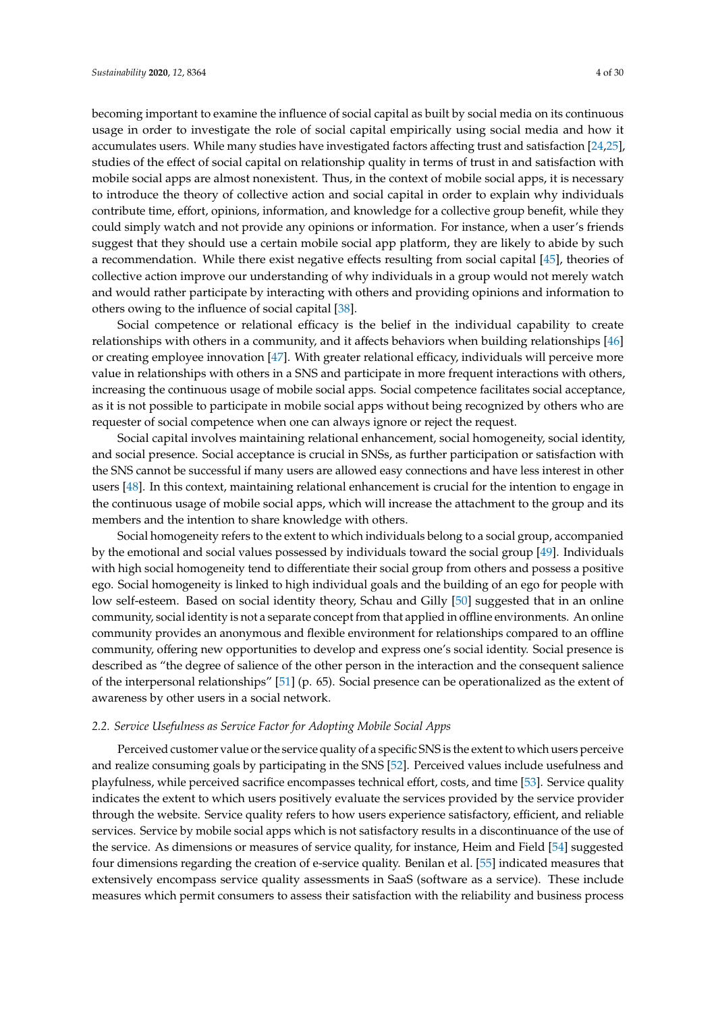becoming important to examine the influence of social capital as built by social media on its continuous usage in order to investigate the role of social capital empirically using social media and how it accumulates users. While many studies have investigated factors affecting trust and satisfaction [\[24](#page-25-1)[,25\]](#page-25-2), studies of the effect of social capital on relationship quality in terms of trust in and satisfaction with mobile social apps are almost nonexistent. Thus, in the context of mobile social apps, it is necessary to introduce the theory of collective action and social capital in order to explain why individuals contribute time, effort, opinions, information, and knowledge for a collective group benefit, while they could simply watch and not provide any opinions or information. For instance, when a user's friends suggest that they should use a certain mobile social app platform, they are likely to abide by such a recommendation. While there exist negative effects resulting from social capital [\[45\]](#page-25-19), theories of collective action improve our understanding of why individuals in a group would not merely watch and would rather participate by interacting with others and providing opinions and information to others owing to the influence of social capital [\[38\]](#page-25-12).

Social competence or relational efficacy is the belief in the individual capability to create relationships with others in a community, and it affects behaviors when building relationships [\[46\]](#page-25-20) or creating employee innovation [\[47\]](#page-25-21). With greater relational efficacy, individuals will perceive more value in relationships with others in a SNS and participate in more frequent interactions with others, increasing the continuous usage of mobile social apps. Social competence facilitates social acceptance, as it is not possible to participate in mobile social apps without being recognized by others who are requester of social competence when one can always ignore or reject the request.

Social capital involves maintaining relational enhancement, social homogeneity, social identity, and social presence. Social acceptance is crucial in SNSs, as further participation or satisfaction with the SNS cannot be successful if many users are allowed easy connections and have less interest in other users [\[48\]](#page-26-0). In this context, maintaining relational enhancement is crucial for the intention to engage in the continuous usage of mobile social apps, which will increase the attachment to the group and its members and the intention to share knowledge with others.

Social homogeneity refers to the extent to which individuals belong to a social group, accompanied by the emotional and social values possessed by individuals toward the social group [\[49\]](#page-26-1). Individuals with high social homogeneity tend to differentiate their social group from others and possess a positive ego. Social homogeneity is linked to high individual goals and the building of an ego for people with low self-esteem. Based on social identity theory, Schau and Gilly [\[50\]](#page-26-2) suggested that in an online community, social identity is not a separate concept from that applied in offline environments. An online community provides an anonymous and flexible environment for relationships compared to an offline community, offering new opportunities to develop and express one's social identity. Social presence is described as "the degree of salience of the other person in the interaction and the consequent salience of the interpersonal relationships" [\[51\]](#page-26-3) (p. 65). Social presence can be operationalized as the extent of awareness by other users in a social network.

# *2.2. Service Usefulness as Service Factor for Adopting Mobile Social Apps*

Perceived customer value or the service quality of a specific SNS is the extent to which users perceive and realize consuming goals by participating in the SNS [\[52\]](#page-26-4). Perceived values include usefulness and playfulness, while perceived sacrifice encompasses technical effort, costs, and time [\[53\]](#page-26-5). Service quality indicates the extent to which users positively evaluate the services provided by the service provider through the website. Service quality refers to how users experience satisfactory, efficient, and reliable services. Service by mobile social apps which is not satisfactory results in a discontinuance of the use of the service. As dimensions or measures of service quality, for instance, Heim and Field [\[54\]](#page-26-6) suggested four dimensions regarding the creation of e-service quality. Benilan et al. [\[55\]](#page-26-7) indicated measures that extensively encompass service quality assessments in SaaS (software as a service). These include measures which permit consumers to assess their satisfaction with the reliability and business process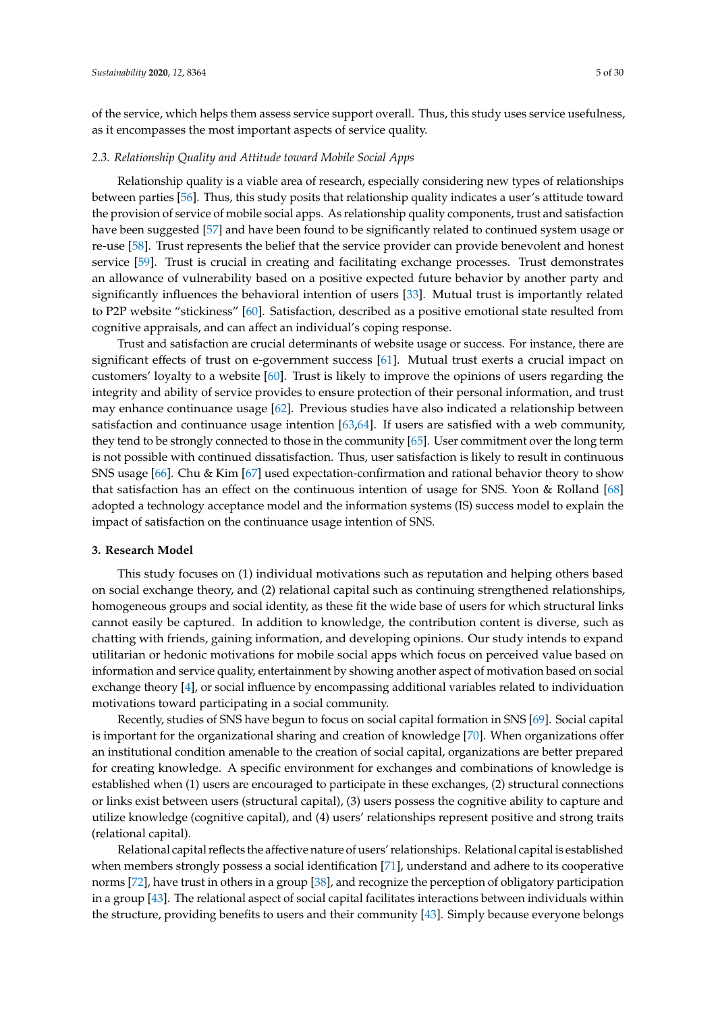of the service, which helps them assess service support overall. Thus, this study uses service usefulness, as it encompasses the most important aspects of service quality.

#### *2.3. Relationship Quality and Attitude toward Mobile Social Apps*

Relationship quality is a viable area of research, especially considering new types of relationships between parties [\[56\]](#page-26-8). Thus, this study posits that relationship quality indicates a user's attitude toward the provision of service of mobile social apps. As relationship quality components, trust and satisfaction have been suggested [\[57\]](#page-26-9) and have been found to be significantly related to continued system usage or re-use [\[58\]](#page-26-10). Trust represents the belief that the service provider can provide benevolent and honest service [\[59\]](#page-26-11). Trust is crucial in creating and facilitating exchange processes. Trust demonstrates an allowance of vulnerability based on a positive expected future behavior by another party and significantly influences the behavioral intention of users [\[33\]](#page-25-6). Mutual trust is importantly related to P2P website "stickiness" [\[60\]](#page-26-12). Satisfaction, described as a positive emotional state resulted from cognitive appraisals, and can affect an individual's coping response.

Trust and satisfaction are crucial determinants of website usage or success. For instance, there are significant effects of trust on e-government success [\[61\]](#page-26-13). Mutual trust exerts a crucial impact on customers' loyalty to a website [\[60\]](#page-26-12). Trust is likely to improve the opinions of users regarding the integrity and ability of service provides to ensure protection of their personal information, and trust may enhance continuance usage [\[62\]](#page-26-14). Previous studies have also indicated a relationship between satisfaction and continuance usage intention [\[63](#page-26-15)[,64\]](#page-26-16). If users are satisfied with a web community, they tend to be strongly connected to those in the community [\[65\]](#page-26-17). User commitment over the long term is not possible with continued dissatisfaction. Thus, user satisfaction is likely to result in continuous SNS usage [\[66\]](#page-26-18). Chu & Kim [\[67\]](#page-26-19) used expectation-confirmation and rational behavior theory to show that satisfaction has an effect on the continuous intention of usage for SNS. Yoon & Rolland [\[68\]](#page-26-20) adopted a technology acceptance model and the information systems (IS) success model to explain the impact of satisfaction on the continuance usage intention of SNS.

#### **3. Research Model**

This study focuses on (1) individual motivations such as reputation and helping others based on social exchange theory, and (2) relational capital such as continuing strengthened relationships, homogeneous groups and social identity, as these fit the wide base of users for which structural links cannot easily be captured. In addition to knowledge, the contribution content is diverse, such as chatting with friends, gaining information, and developing opinions. Our study intends to expand utilitarian or hedonic motivations for mobile social apps which focus on perceived value based on information and service quality, entertainment by showing another aspect of motivation based on social exchange theory [\[4\]](#page-24-3), or social influence by encompassing additional variables related to individuation motivations toward participating in a social community.

Recently, studies of SNS have begun to focus on social capital formation in SNS [\[69\]](#page-26-21). Social capital is important for the organizational sharing and creation of knowledge [\[70\]](#page-26-22). When organizations offer an institutional condition amenable to the creation of social capital, organizations are better prepared for creating knowledge. A specific environment for exchanges and combinations of knowledge is established when (1) users are encouraged to participate in these exchanges, (2) structural connections or links exist between users (structural capital), (3) users possess the cognitive ability to capture and utilize knowledge (cognitive capital), and (4) users' relationships represent positive and strong traits (relational capital).

Relational capital reflects the affective nature of users' relationships. Relational capital is established when members strongly possess a social identification [\[71\]](#page-26-23), understand and adhere to its cooperative norms [\[72\]](#page-26-24), have trust in others in a group [\[38\]](#page-25-12), and recognize the perception of obligatory participation in a group [\[43\]](#page-25-17). The relational aspect of social capital facilitates interactions between individuals within the structure, providing benefits to users and their community [\[43\]](#page-25-17). Simply because everyone belongs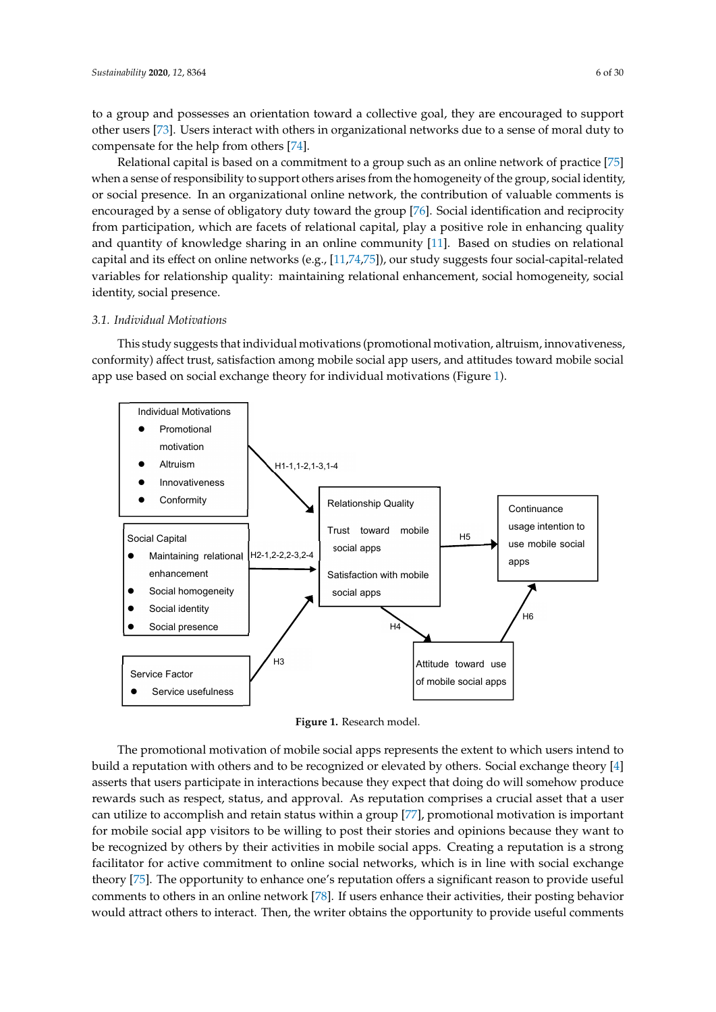to a group and possesses an orientation toward a collective goal, they are encouraged to support other users [\[73\]](#page-26-25). Users interact with others in organizational networks due to a sense of moral duty to compensate for the help from others [\[74\]](#page-26-26).

Relational capital is based on a commitment to a group such as an online network of practice [\[75\]](#page-27-0) when a sense of responsibility to support others arises from the homogeneity of the group, social identity, or social presence. In an organizational online network, the contribution of valuable comments is encouraged by a sense of obligatory duty toward the group [\[76\]](#page-27-1). Social identification and reciprocity from participation, which are facets of relational capital, play a positive role in enhancing quality and quantity of knowledge sharing in an online community [\[11\]](#page-24-10). Based on studies on relational capital and its effect on online networks (e.g., [\[11,](#page-24-10)[74](#page-26-26)[,75\]](#page-27-0)), our study suggests four social-capital-related variables for relationship quality: maintaining relational enhancement, social homogeneity, social identity, social presence.  $h_{\lambda}$  is so social presence.

#### *3.1. Individual Motivations*

This study suggests that individual motivations (promotional motivation, altruism, innovativeness, This study suggests that individual motivations (promotional motivation, altruism, conformity) affect trust, satisfaction among mobile social app users, and attitudes toward mobile social app use based on social exchange theory for individual motivations (Figure [1\)](#page-5-0).

<span id="page-5-0"></span>

**Figure 1.** Research model. **Figure 1.** Research model.

The promotional motivation of mobile social apps represents the extent to which users intend to The promotional motivation of mobile social apps represents the extent to which users intend to build a reputation with others and to be recognized or elevated by others. Social exchange theory [4] build a reputation with others and to be recognized or elevated by others. Social exchange theory [\[4\]](#page-24-3) asserts that users participate in interactions because they expect that doing do will somehow produce asserts that users participate in interactions because they expect that doing do will somehow produce rewards such as respect, status, and approval. As reputation comprises a crucial asset that a user can utilize to accomplish and retain status within a group [77], [pro](#page-27-2)motional motivation is important for mobile social app visitors to be willing to post their stories and opinions because they want to be recognized by others by their activities in mobile social apps. Creating a reputation is a strong facilitator for active commitment to online social networks, which is in line with social exchange  $t_{\text{Z}}$ . The opportunity to enhance one's reputation of  $\epsilon$  reputation of  $\epsilon$ theory [\[75\]](#page-27-0). The opportunity to enhance one's reputation offers a significant reason to provide useful<br> $\frac{1}{2}$ comments to others in an online network [\[78\]](#page-27-3). If users enhance their activities, their posting behavior would attract others to interact. Then, the writer obtains the opportunity to provide useful comments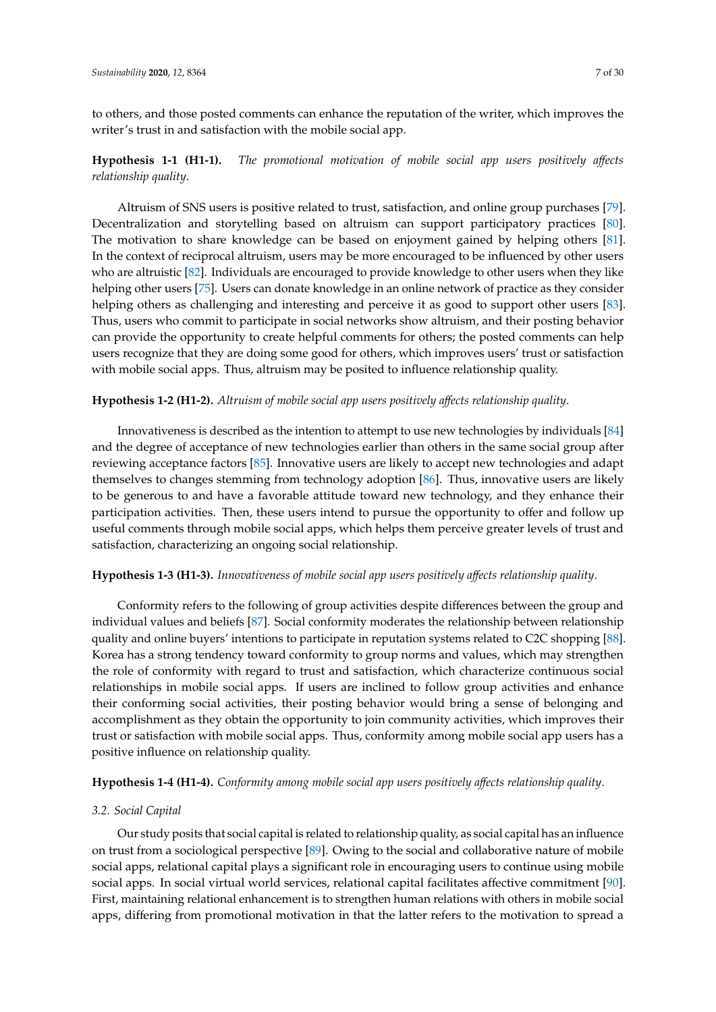to others, and those posted comments can enhance the reputation of the writer, which improves the writer's trust in and satisfaction with the mobile social app.

# **Hypothesis 1-1 (H1-1).** *The promotional motivation of mobile social app users positively a*ff*ects relationship quality*.

Altruism of SNS users is positive related to trust, satisfaction, and online group purchases [\[79\]](#page-27-4). Decentralization and storytelling based on altruism can support participatory practices [\[80\]](#page-27-5). The motivation to share knowledge can be based on enjoyment gained by helping others [\[81\]](#page-27-6). In the context of reciprocal altruism, users may be more encouraged to be influenced by other users who are altruistic [\[82\]](#page-27-7). Individuals are encouraged to provide knowledge to other users when they like helping other users [\[75\]](#page-27-0). Users can donate knowledge in an online network of practice as they consider helping others as challenging and interesting and perceive it as good to support other users [\[83\]](#page-27-8). Thus, users who commit to participate in social networks show altruism, and their posting behavior can provide the opportunity to create helpful comments for others; the posted comments can help users recognize that they are doing some good for others, which improves users' trust or satisfaction with mobile social apps. Thus, altruism may be posited to influence relationship quality.

# **Hypothesis 1-2 (H1-2).** *Altruism of mobile social app users positively a*ff*ects relationship quality*.

Innovativeness is described as the intention to attempt to use new technologies by individuals [\[84\]](#page-27-9) and the degree of acceptance of new technologies earlier than others in the same social group after reviewing acceptance factors [\[85\]](#page-27-10). Innovative users are likely to accept new technologies and adapt themselves to changes stemming from technology adoption [\[86\]](#page-27-11). Thus, innovative users are likely to be generous to and have a favorable attitude toward new technology, and they enhance their participation activities. Then, these users intend to pursue the opportunity to offer and follow up useful comments through mobile social apps, which helps them perceive greater levels of trust and satisfaction, characterizing an ongoing social relationship.

# **Hypothesis 1-3 (H1-3).** *Innovativeness of mobile social app users positively a*ff*ects relationship quality*.

Conformity refers to the following of group activities despite differences between the group and individual values and beliefs [\[87\]](#page-27-12). Social conformity moderates the relationship between relationship quality and online buyers' intentions to participate in reputation systems related to C2C shopping [\[88\]](#page-27-13). Korea has a strong tendency toward conformity to group norms and values, which may strengthen the role of conformity with regard to trust and satisfaction, which characterize continuous social relationships in mobile social apps. If users are inclined to follow group activities and enhance their conforming social activities, their posting behavior would bring a sense of belonging and accomplishment as they obtain the opportunity to join community activities, which improves their trust or satisfaction with mobile social apps. Thus, conformity among mobile social app users has a positive influence on relationship quality.

# **Hypothesis 1-4 (H1-4).** *Conformity among mobile social app users positively a*ff*ects relationship quality*.

#### *3.2. Social Capital*

Our study posits that social capital is related to relationship quality, as social capital has an influence on trust from a sociological perspective [\[89\]](#page-27-14). Owing to the social and collaborative nature of mobile social apps, relational capital plays a significant role in encouraging users to continue using mobile social apps. In social virtual world services, relational capital facilitates affective commitment [\[90\]](#page-27-15). First, maintaining relational enhancement is to strengthen human relations with others in mobile social apps, differing from promotional motivation in that the latter refers to the motivation to spread a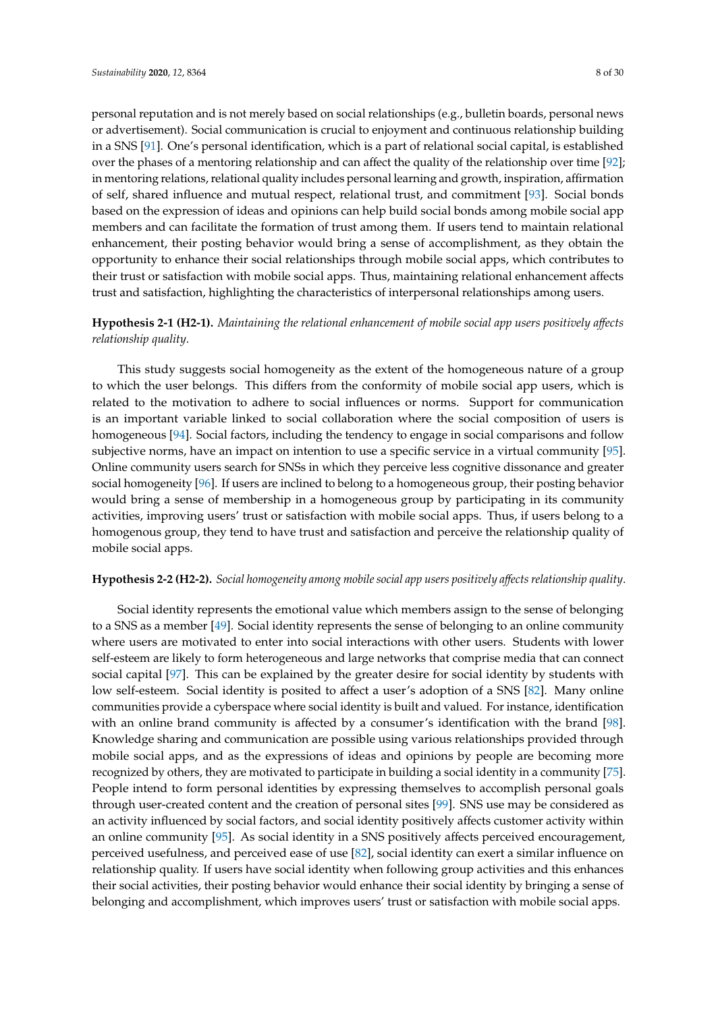personal reputation and is not merely based on social relationships (e.g., bulletin boards, personal news or advertisement). Social communication is crucial to enjoyment and continuous relationship building in a SNS [\[91\]](#page-27-16). One's personal identification, which is a part of relational social capital, is established over the phases of a mentoring relationship and can affect the quality of the relationship over time [\[92\]](#page-27-17); in mentoring relations, relational quality includes personal learning and growth, inspiration, affirmation of self, shared influence and mutual respect, relational trust, and commitment [\[93\]](#page-27-18). Social bonds based on the expression of ideas and opinions can help build social bonds among mobile social app members and can facilitate the formation of trust among them. If users tend to maintain relational enhancement, their posting behavior would bring a sense of accomplishment, as they obtain the opportunity to enhance their social relationships through mobile social apps, which contributes to their trust or satisfaction with mobile social apps. Thus, maintaining relational enhancement affects trust and satisfaction, highlighting the characteristics of interpersonal relationships among users.

# **Hypothesis 2-1 (H2-1).** *Maintaining the relational enhancement of mobile social app users positively a*ff*ects relationship quality*.

This study suggests social homogeneity as the extent of the homogeneous nature of a group to which the user belongs. This differs from the conformity of mobile social app users, which is related to the motivation to adhere to social influences or norms. Support for communication is an important variable linked to social collaboration where the social composition of users is homogeneous [\[94\]](#page-27-19). Social factors, including the tendency to engage in social comparisons and follow subjective norms, have an impact on intention to use a specific service in a virtual community [\[95\]](#page-27-20). Online community users search for SNSs in which they perceive less cognitive dissonance and greater social homogeneity [\[96\]](#page-27-21). If users are inclined to belong to a homogeneous group, their posting behavior would bring a sense of membership in a homogeneous group by participating in its community activities, improving users' trust or satisfaction with mobile social apps. Thus, if users belong to a homogenous group, they tend to have trust and satisfaction and perceive the relationship quality of mobile social apps.

# **Hypothesis 2-2 (H2-2).** *Social homogeneity among mobile social app users positively a*ff*ects relationship quality*.

Social identity represents the emotional value which members assign to the sense of belonging to a SNS as a member [\[49\]](#page-26-1). Social identity represents the sense of belonging to an online community where users are motivated to enter into social interactions with other users. Students with lower self-esteem are likely to form heterogeneous and large networks that comprise media that can connect social capital [\[97\]](#page-27-22). This can be explained by the greater desire for social identity by students with low self-esteem. Social identity is posited to affect a user's adoption of a SNS [\[82\]](#page-27-7). Many online communities provide a cyberspace where social identity is built and valued. For instance, identification with an online brand community is affected by a consumer's identification with the brand [\[98\]](#page-27-23). Knowledge sharing and communication are possible using various relationships provided through mobile social apps, and as the expressions of ideas and opinions by people are becoming more recognized by others, they are motivated to participate in building a social identity in a community [\[75\]](#page-27-0). People intend to form personal identities by expressing themselves to accomplish personal goals through user-created content and the creation of personal sites [\[99\]](#page-27-24). SNS use may be considered as an activity influenced by social factors, and social identity positively affects customer activity within an online community [\[95\]](#page-27-20). As social identity in a SNS positively affects perceived encouragement, perceived usefulness, and perceived ease of use [\[82\]](#page-27-7), social identity can exert a similar influence on relationship quality. If users have social identity when following group activities and this enhances their social activities, their posting behavior would enhance their social identity by bringing a sense of belonging and accomplishment, which improves users' trust or satisfaction with mobile social apps.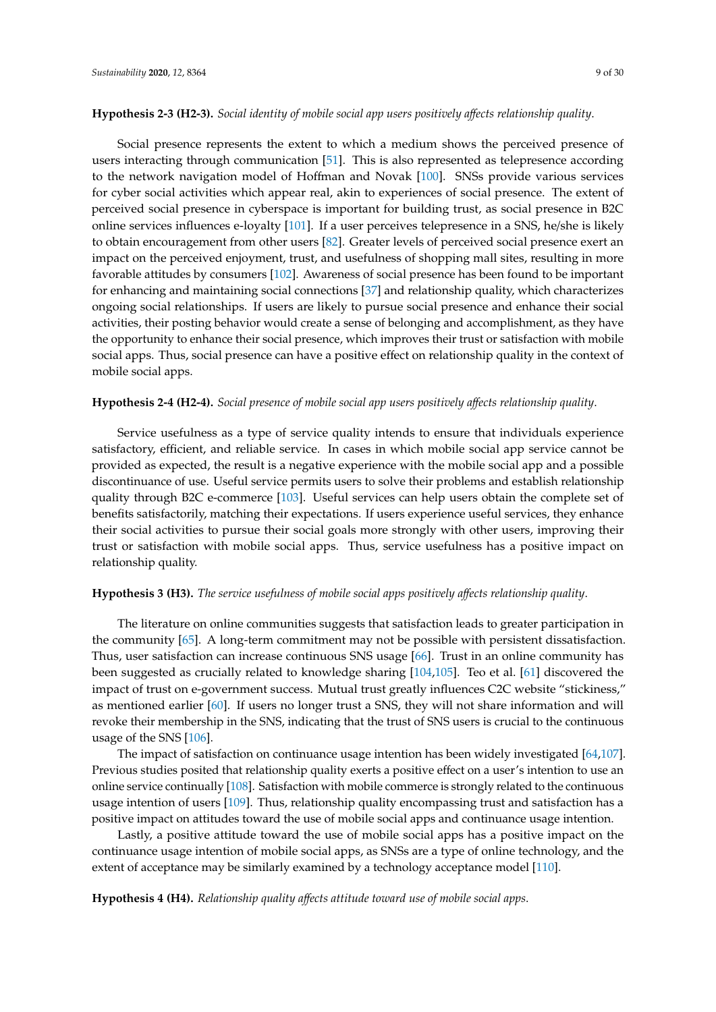# **Hypothesis 2-3 (H2-3).** *Social identity of mobile social app users positively a*ff*ects relationship quality*.

Social presence represents the extent to which a medium shows the perceived presence of users interacting through communication [\[51\]](#page-26-3). This is also represented as telepresence according to the network navigation model of Hoffman and Novak [\[100\]](#page-27-25). SNSs provide various services for cyber social activities which appear real, akin to experiences of social presence. The extent of perceived social presence in cyberspace is important for building trust, as social presence in B2C online services influences e-loyalty [\[101\]](#page-28-0). If a user perceives telepresence in a SNS, he/she is likely to obtain encouragement from other users [\[82\]](#page-27-7). Greater levels of perceived social presence exert an impact on the perceived enjoyment, trust, and usefulness of shopping mall sites, resulting in more favorable attitudes by consumers [\[102\]](#page-28-1). Awareness of social presence has been found to be important for enhancing and maintaining social connections [\[37\]](#page-25-11) and relationship quality, which characterizes ongoing social relationships. If users are likely to pursue social presence and enhance their social activities, their posting behavior would create a sense of belonging and accomplishment, as they have the opportunity to enhance their social presence, which improves their trust or satisfaction with mobile social apps. Thus, social presence can have a positive effect on relationship quality in the context of mobile social apps.

#### **Hypothesis 2-4 (H2-4).** *Social presence of mobile social app users positively a*ff*ects relationship quality*.

Service usefulness as a type of service quality intends to ensure that individuals experience satisfactory, efficient, and reliable service. In cases in which mobile social app service cannot be provided as expected, the result is a negative experience with the mobile social app and a possible discontinuance of use. Useful service permits users to solve their problems and establish relationship quality through B2C e-commerce [\[103\]](#page-28-2). Useful services can help users obtain the complete set of benefits satisfactorily, matching their expectations. If users experience useful services, they enhance their social activities to pursue their social goals more strongly with other users, improving their trust or satisfaction with mobile social apps. Thus, service usefulness has a positive impact on relationship quality.

# **Hypothesis 3 (H3).** *The service usefulness of mobile social apps positively a*ff*ects relationship quality*.

The literature on online communities suggests that satisfaction leads to greater participation in the community [\[65\]](#page-26-17). A long-term commitment may not be possible with persistent dissatisfaction. Thus, user satisfaction can increase continuous SNS usage [\[66\]](#page-26-18). Trust in an online community has been suggested as crucially related to knowledge sharing [\[104,](#page-28-3)[105\]](#page-28-4). Teo et al. [\[61\]](#page-26-13) discovered the impact of trust on e-government success. Mutual trust greatly influences C2C website "stickiness," as mentioned earlier [\[60\]](#page-26-12). If users no longer trust a SNS, they will not share information and will revoke their membership in the SNS, indicating that the trust of SNS users is crucial to the continuous usage of the SNS [\[106\]](#page-28-5).

The impact of satisfaction on continuance usage intention has been widely investigated [\[64,](#page-26-16)[107\]](#page-28-6). Previous studies posited that relationship quality exerts a positive effect on a user's intention to use an online service continually [\[108\]](#page-28-7). Satisfaction with mobile commerce is strongly related to the continuous usage intention of users [\[109\]](#page-28-8). Thus, relationship quality encompassing trust and satisfaction has a positive impact on attitudes toward the use of mobile social apps and continuance usage intention.

Lastly, a positive attitude toward the use of mobile social apps has a positive impact on the continuance usage intention of mobile social apps, as SNSs are a type of online technology, and the extent of acceptance may be similarly examined by a technology acceptance model [\[110\]](#page-28-9).

**Hypothesis 4 (H4).** *Relationship quality a*ff*ects attitude toward use of mobile social apps*.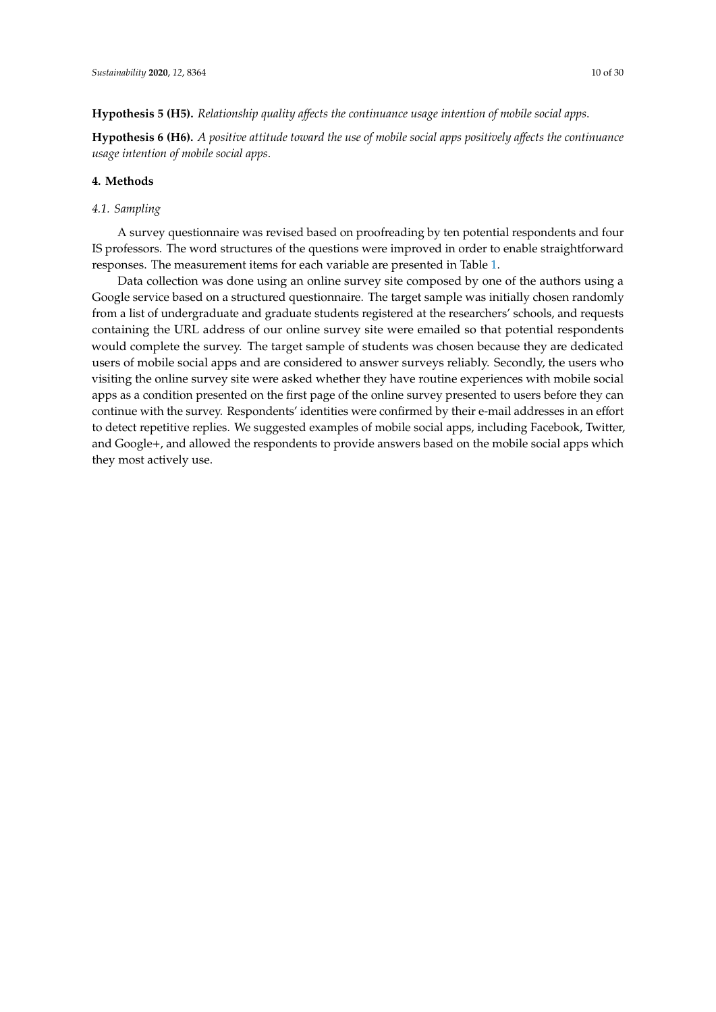**Hypothesis 5 (H5).** *Relationship quality a*ff*ects the continuance usage intention of mobile social apps*.

**Hypothesis 6 (H6).** *A positive attitude toward the use of mobile social apps positively a*ff*ects the continuance usage intention of mobile social apps*.

#### **4. Methods**

#### *4.1. Sampling*

A survey questionnaire was revised based on proofreading by ten potential respondents and four IS professors. The word structures of the questions were improved in order to enable straightforward responses. The measurement items for each variable are presented in Table [1.](#page-12-0)

Data collection was done using an online survey site composed by one of the authors using a Google service based on a structured questionnaire. The target sample was initially chosen randomly from a list of undergraduate and graduate students registered at the researchers' schools, and requests containing the URL address of our online survey site were emailed so that potential respondents would complete the survey. The target sample of students was chosen because they are dedicated users of mobile social apps and are considered to answer surveys reliably. Secondly, the users who visiting the online survey site were asked whether they have routine experiences with mobile social apps as a condition presented on the first page of the online survey presented to users before they can continue with the survey. Respondents' identities were confirmed by their e-mail addresses in an effort to detect repetitive replies. We suggested examples of mobile social apps, including Facebook, Twitter, and Google+, and allowed the respondents to provide answers based on the mobile social apps which they most actively use.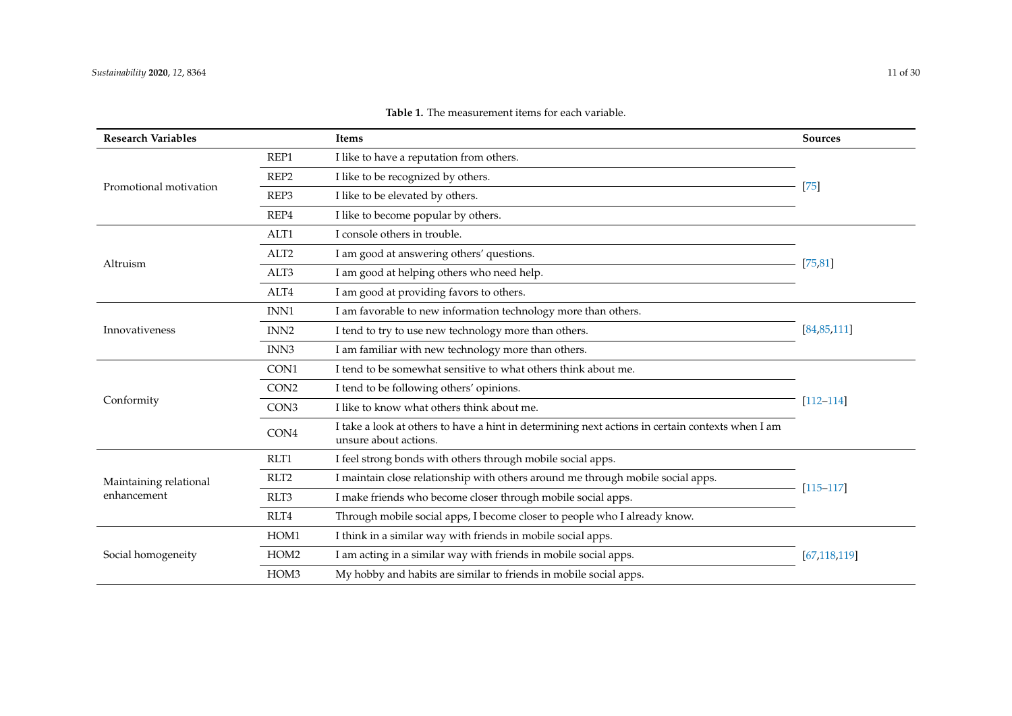| <b>Table 1.</b> The measurement items for each variable. |
|----------------------------------------------------------|
|----------------------------------------------------------|

| <b>Research Variables</b> |                                                  | <b>Items</b>                                                                                                              | <b>Sources</b> |  |  |  |
|---------------------------|--------------------------------------------------|---------------------------------------------------------------------------------------------------------------------------|----------------|--|--|--|
|                           | REP1<br>I like to have a reputation from others. |                                                                                                                           |                |  |  |  |
| Promotional motivation    | REP <sub>2</sub>                                 | I like to be recognized by others.                                                                                        |                |  |  |  |
|                           | REP3                                             | I like to be elevated by others.                                                                                          | $[75]$         |  |  |  |
|                           | REP4                                             | I like to become popular by others.                                                                                       |                |  |  |  |
|                           | ALT1                                             | I console others in trouble.                                                                                              |                |  |  |  |
|                           | ALT <sub>2</sub>                                 | I am good at answering others' questions.                                                                                 |                |  |  |  |
| Altruism                  | ALT3                                             | I am good at helping others who need help.                                                                                | [75, 81]       |  |  |  |
|                           | ALT4                                             | I am good at providing favors to others.                                                                                  |                |  |  |  |
|                           | INN1                                             | I am favorable to new information technology more than others.                                                            |                |  |  |  |
| Innovativeness            | INN <sub>2</sub>                                 | I tend to try to use new technology more than others.                                                                     | [84,85,111]    |  |  |  |
|                           | INN3                                             | I am familiar with new technology more than others.                                                                       |                |  |  |  |
|                           | CON1                                             | I tend to be somewhat sensitive to what others think about me.                                                            |                |  |  |  |
|                           | CON <sub>2</sub>                                 | I tend to be following others' opinions.                                                                                  | $[112 - 114]$  |  |  |  |
| Conformity                | CON <sub>3</sub>                                 | I like to know what others think about me.                                                                                |                |  |  |  |
|                           | CON4                                             | I take a look at others to have a hint in determining next actions in certain contexts when I am<br>unsure about actions. |                |  |  |  |
|                           | RLT1                                             | I feel strong bonds with others through mobile social apps.                                                               |                |  |  |  |
| Maintaining relational    | RLT <sub>2</sub>                                 | I maintain close relationship with others around me through mobile social apps.                                           | $[115 - 117]$  |  |  |  |
| enhancement               | RLT3                                             | I make friends who become closer through mobile social apps.                                                              |                |  |  |  |
|                           | RLT4                                             | Through mobile social apps, I become closer to people who I already know.                                                 |                |  |  |  |
|                           | HOM1                                             | I think in a similar way with friends in mobile social apps.                                                              |                |  |  |  |
| Social homogeneity        | HOM2                                             | I am acting in a similar way with friends in mobile social apps.                                                          | [67, 118, 119] |  |  |  |
|                           | HOM <sub>3</sub>                                 | My hobby and habits are similar to friends in mobile social apps.                                                         |                |  |  |  |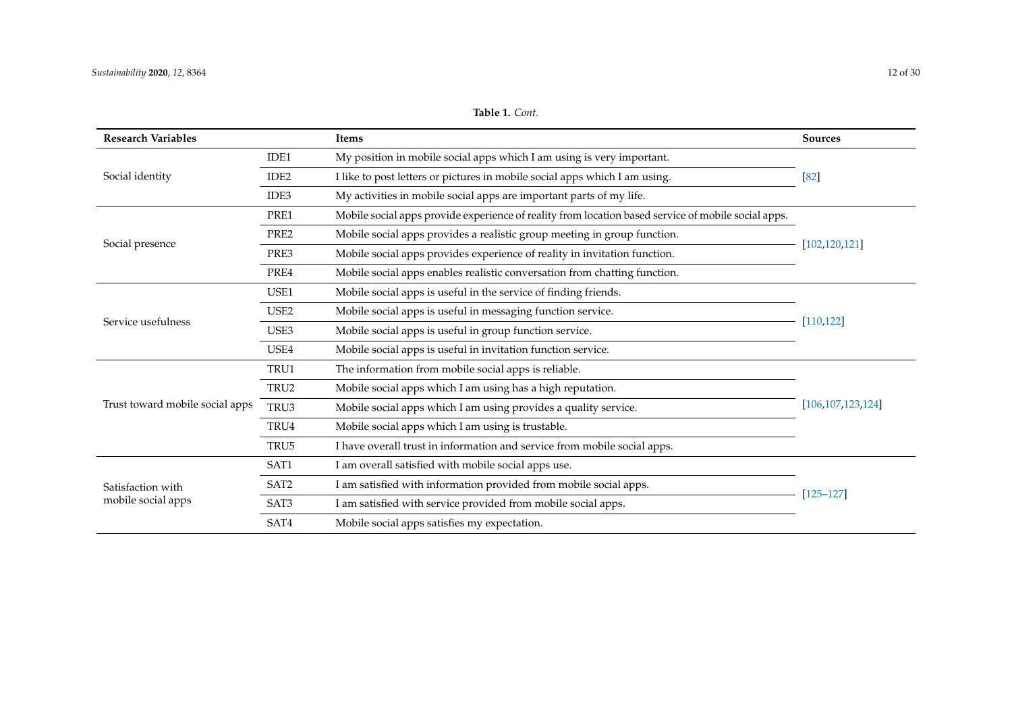| <b>Research Variables</b>       |                  | Items                                                                                               | <b>Sources</b>       |  |  |
|---------------------------------|------------------|-----------------------------------------------------------------------------------------------------|----------------------|--|--|
|                                 | IDE1             | My position in mobile social apps which I am using is very important.                               |                      |  |  |
| Social identity                 | IDE <sub>2</sub> | I like to post letters or pictures in mobile social apps which I am using.                          | $[82]$               |  |  |
|                                 | IDE3             | My activities in mobile social apps are important parts of my life.                                 |                      |  |  |
|                                 | PRE1             | Mobile social apps provide experience of reality from location based service of mobile social apps. |                      |  |  |
| Social presence                 | PRE2             | Mobile social apps provides a realistic group meeting in group function.                            |                      |  |  |
|                                 | PRE3             | Mobile social apps provides experience of reality in invitation function.                           | [102, 120, 121]      |  |  |
|                                 | PRE4             | Mobile social apps enables realistic conversation from chatting function.                           |                      |  |  |
|                                 | USE1             | Mobile social apps is useful in the service of finding friends.                                     |                      |  |  |
|                                 | USE <sub>2</sub> | Mobile social apps is useful in messaging function service.                                         | [110, 122]           |  |  |
| Service usefulness              | USE3             | Mobile social apps is useful in group function service.                                             |                      |  |  |
|                                 | USE4             | Mobile social apps is useful in invitation function service.                                        |                      |  |  |
|                                 | TRU1             | The information from mobile social apps is reliable.                                                |                      |  |  |
|                                 | TRU <sub>2</sub> | Mobile social apps which I am using has a high reputation.                                          |                      |  |  |
| Trust toward mobile social apps | TRU3             | Mobile social apps which I am using provides a quality service.                                     | [106, 107, 123, 124] |  |  |
|                                 | TRU4             | Mobile social apps which I am using is trustable.                                                   |                      |  |  |
|                                 | TRU5             | I have overall trust in information and service from mobile social apps.                            |                      |  |  |
|                                 | SAT1             | I am overall satisfied with mobile social apps use.                                                 |                      |  |  |
| Satisfaction with               | SAT <sub>2</sub> | I am satisfied with information provided from mobile social apps.                                   | $[125 - 127]$        |  |  |
| mobile social apps              | SAT3             | I am satisfied with service provided from mobile social apps.                                       |                      |  |  |
|                                 | SAT4             | Mobile social apps satisfies my expectation.                                                        |                      |  |  |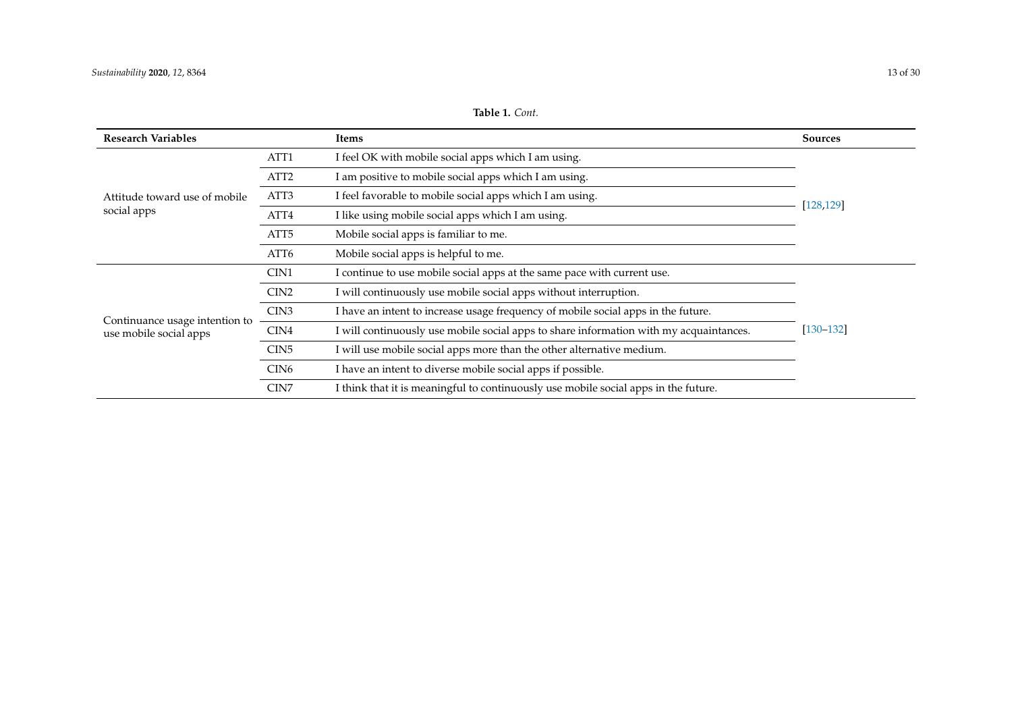<span id="page-12-0"></span>

| <b>Research Variables</b>                    |                  | Items                                                                                  | <b>Sources</b> |
|----------------------------------------------|------------------|----------------------------------------------------------------------------------------|----------------|
|                                              | ATT1             | I feel OK with mobile social apps which I am using.                                    |                |
| Attitude toward use of mobile<br>social apps | ATT <sub>2</sub> | I am positive to mobile social apps which I am using.                                  |                |
|                                              | ATT3             | I feel favorable to mobile social apps which I am using.                               | [128, 129]     |
|                                              | ATT4             | I like using mobile social apps which I am using.                                      |                |
|                                              | ATT <sub>5</sub> | Mobile social apps is familiar to me.                                                  |                |
|                                              | ATT6             | Mobile social apps is helpful to me.                                                   |                |
|                                              | CIN1             | I continue to use mobile social apps at the same pace with current use.                |                |
|                                              | CIN2             | I will continuously use mobile social apps without interruption.                       |                |
| Continuance usage intention to               | CIN <sub>3</sub> | I have an intent to increase usage frequency of mobile social apps in the future.      |                |
| use mobile social apps                       | CIN4             | I will continuously use mobile social apps to share information with my acquaintances. | $[130 - 132]$  |
|                                              | CIN <sub>5</sub> | I will use mobile social apps more than the other alternative medium.                  |                |
|                                              | CIN <sub>6</sub> | I have an intent to diverse mobile social apps if possible.                            |                |
|                                              | CIN7             | I think that it is meaningful to continuously use mobile social apps in the future.    |                |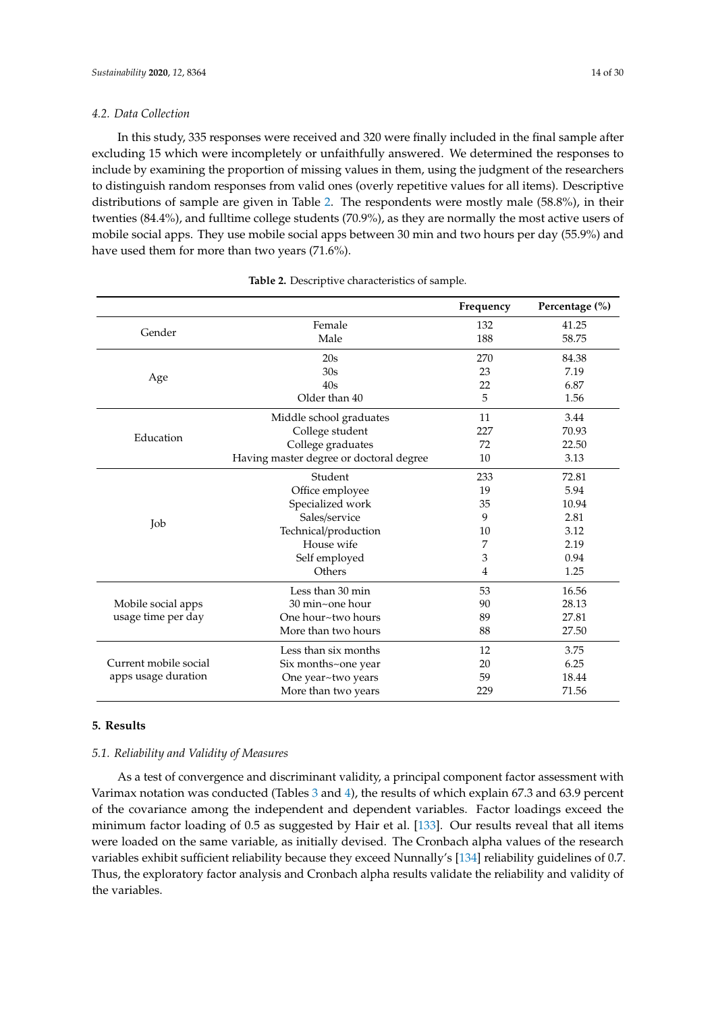#### *4.2. Data Collection*

In this study, 335 responses were received and 320 were finally included in the final sample after excluding 15 which were incompletely or unfaithfully answered. We determined the responses to include by examining the proportion of missing values in them, using the judgment of the researchers to distinguish random responses from valid ones (overly repetitive values for all items). Descriptive distributions of sample are given in Table [2.](#page-13-0) The respondents were mostly male (58.8%), in their twenties (84.4%), and fulltime college students (70.9%), as they are normally the most active users of mobile social apps. They use mobile social apps between 30 min and two hours per day (55.9%) and have used them for more than two years (71.6%).

<span id="page-13-0"></span>

|                       |                                         | Frequency | Percentage (%) |
|-----------------------|-----------------------------------------|-----------|----------------|
|                       | Female                                  | 132       | 41.25          |
| Gender                | Male                                    | 188       | 58.75          |
|                       | 20s                                     | 270       | 84.38          |
| Age                   | 30s                                     | 23        | 7.19           |
|                       | 40s                                     | 22        | 6.87           |
|                       | Older than 40                           | 5         | 1.56           |
|                       | Middle school graduates                 | 11        | 3.44           |
| Education             | College student                         | 227       | 70.93          |
|                       | College graduates                       | 72        | 22.50          |
|                       | Having master degree or doctoral degree | 10        | 3.13           |
|                       | Student                                 | 233       | 72.81          |
|                       | Office employee                         | 19        | 5.94           |
|                       | Specialized work                        | 35        | 10.94          |
| Job                   | Sales/service                           | 9         | 2.81           |
|                       | Technical/production                    | 10        | 3.12           |
|                       | House wife                              | 7         | 2.19           |
|                       | Self employed                           | 3         | 0.94           |
|                       | Others                                  | 4         | 1.25           |
|                       | Less than 30 min                        | 53        | 16.56          |
| Mobile social apps    | 30 min~one hour                         | 90        | 28.13          |
| usage time per day    | One hour~two hours                      | 89        | 27.81          |
|                       | More than two hours                     | 88        | 27.50          |
|                       | Less than six months                    | 12        | 3.75           |
| Current mobile social | Six months~one year                     | 20        | 6.25           |
| apps usage duration   | One year~two years                      | 59        | 18.44          |
|                       | More than two years                     | 229       | 71.56          |

**Table 2.** Descriptive characteristics of sample.

# **5. Results**

# *5.1. Reliability and Validity of Measures*

As a test of convergence and discriminant validity, a principal component factor assessment with Varimax notation was conducted (Tables [3](#page-15-0) and [4\)](#page-16-0), the results of which explain 67.3 and 63.9 percent of the covariance among the independent and dependent variables. Factor loadings exceed the minimum factor loading of 0.5 as suggested by Hair et al. [\[133\]](#page-29-5). Our results reveal that all items were loaded on the same variable, as initially devised. The Cronbach alpha values of the research variables exhibit sufficient reliability because they exceed Nunnally's [\[134\]](#page-29-6) reliability guidelines of 0.7. Thus, the exploratory factor analysis and Cronbach alpha results validate the reliability and validity of the variables.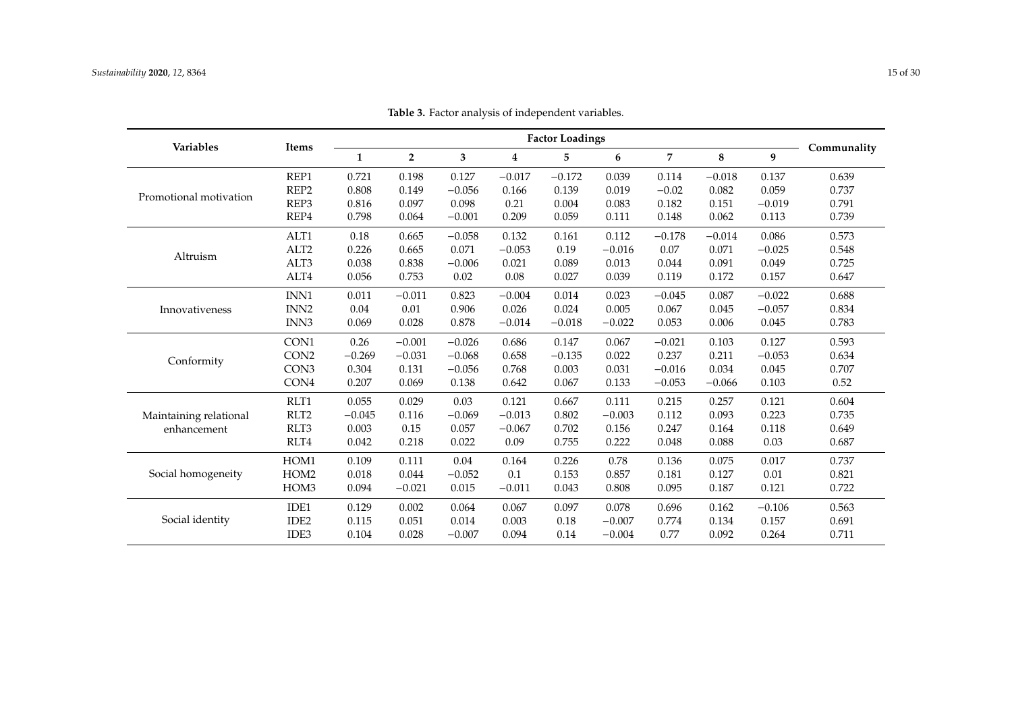| <b>Variables</b>       | <b>Items</b>     | <b>Factor Loadings</b> |                |          |          |          |          |          |          |          |             |
|------------------------|------------------|------------------------|----------------|----------|----------|----------|----------|----------|----------|----------|-------------|
|                        |                  | 1                      | $\overline{2}$ | 3        | 4        | 5        | 6        | 7        | 8        | 9        | Communality |
|                        | REP1             | 0.721                  | 0.198          | 0.127    | $-0.017$ | $-0.172$ | 0.039    | 0.114    | $-0.018$ | 0.137    | 0.639       |
|                        | REP <sub>2</sub> | 0.808                  | 0.149          | $-0.056$ | 0.166    | 0.139    | 0.019    | $-0.02$  | 0.082    | 0.059    | 0.737       |
| Promotional motivation | REP3             | 0.816                  | 0.097          | 0.098    | 0.21     | 0.004    | 0.083    | 0.182    | 0.151    | $-0.019$ | 0.791       |
|                        | REP4             | 0.798                  | 0.064          | $-0.001$ | 0.209    | 0.059    | 0.111    | 0.148    | 0.062    | 0.113    | 0.739       |
|                        | ALT1             | 0.18                   | 0.665          | $-0.058$ | 0.132    | 0.161    | 0.112    | $-0.178$ | $-0.014$ | 0.086    | 0.573       |
| Altruism               | ALT <sub>2</sub> | 0.226                  | 0.665          | 0.071    | $-0.053$ | 0.19     | $-0.016$ | 0.07     | 0.071    | $-0.025$ | 0.548       |
|                        | ALT3             | 0.038                  | 0.838          | $-0.006$ | 0.021    | 0.089    | 0.013    | 0.044    | 0.091    | 0.049    | 0.725       |
|                        | ALT4             | 0.056                  | 0.753          | 0.02     | 0.08     | 0.027    | 0.039    | 0.119    | 0.172    | 0.157    | 0.647       |
| Innovativeness         | INN1             | 0.011                  | $-0.011$       | 0.823    | $-0.004$ | 0.014    | 0.023    | $-0.045$ | 0.087    | $-0.022$ | 0.688       |
|                        | INN <sub>2</sub> | 0.04                   | 0.01           | 0.906    | 0.026    | 0.024    | 0.005    | 0.067    | 0.045    | $-0.057$ | 0.834       |
|                        | INN3             | 0.069                  | 0.028          | 0.878    | $-0.014$ | $-0.018$ | $-0.022$ | 0.053    | 0.006    | 0.045    | 0.783       |
|                        | CON1             | 0.26                   | $-0.001$       | $-0.026$ | 0.686    | 0.147    | 0.067    | $-0.021$ | 0.103    | 0.127    | 0.593       |
| Conformity             | CON <sub>2</sub> | $-0.269$               | $-0.031$       | $-0.068$ | 0.658    | $-0.135$ | 0.022    | 0.237    | 0.211    | $-0.053$ | 0.634       |
|                        | CON <sub>3</sub> | 0.304                  | 0.131          | $-0.056$ | 0.768    | 0.003    | 0.031    | $-0.016$ | 0.034    | 0.045    | 0.707       |
|                        | CON4             | 0.207                  | 0.069          | 0.138    | 0.642    | 0.067    | 0.133    | $-0.053$ | $-0.066$ | 0.103    | 0.52        |
|                        | RLT1             | 0.055                  | 0.029          | 0.03     | 0.121    | 0.667    | 0.111    | 0.215    | 0.257    | 0.121    | 0.604       |
| Maintaining relational | RLT2             | $-0.045$               | 0.116          | $-0.069$ | $-0.013$ | 0.802    | $-0.003$ | 0.112    | 0.093    | 0.223    | 0.735       |
| enhancement            | RLT3             | 0.003                  | 0.15           | 0.057    | $-0.067$ | 0.702    | 0.156    | 0.247    | 0.164    | 0.118    | 0.649       |
|                        | RLT4             | 0.042                  | 0.218          | 0.022    | 0.09     | 0.755    | 0.222    | 0.048    | 0.088    | 0.03     | 0.687       |
|                        | HOM1             | 0.109                  | 0.111          | 0.04     | 0.164    | 0.226    | 0.78     | 0.136    | 0.075    | 0.017    | 0.737       |
| Social homogeneity     | HOM <sub>2</sub> | 0.018                  | 0.044          | $-0.052$ | 0.1      | 0.153    | 0.857    | 0.181    | 0.127    | 0.01     | 0.821       |
|                        | HOM <sub>3</sub> | 0.094                  | $-0.021$       | 0.015    | $-0.011$ | 0.043    | 0.808    | 0.095    | 0.187    | 0.121    | 0.722       |
|                        | IDE1             | 0.129                  | 0.002          | 0.064    | 0.067    | 0.097    | 0.078    | 0.696    | 0.162    | $-0.106$ | 0.563       |
| Social identity        | IDE <sub>2</sub> | 0.115                  | 0.051          | 0.014    | 0.003    | 0.18     | $-0.007$ | 0.774    | 0.134    | 0.157    | 0.691       |
|                        | IDE3             | 0.104                  | 0.028          | $-0.007$ | 0.094    | 0.14     | $-0.004$ | 0.77     | 0.092    | 0.264    | 0.711       |

**Table 3.** Factor analysis of independent variables.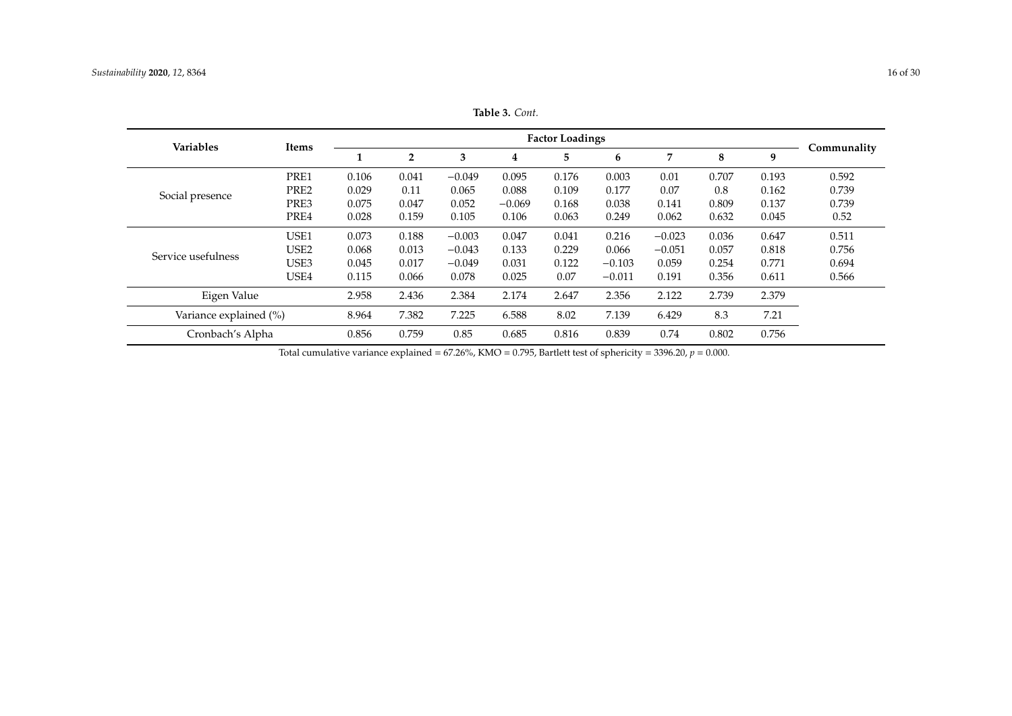| <b>Variables</b>       | Items            | <b>Factor Loadings</b> |                |          |          |       |          |          |       |       |             |
|------------------------|------------------|------------------------|----------------|----------|----------|-------|----------|----------|-------|-------|-------------|
|                        |                  |                        | $\overline{2}$ | 3        | 4        | 5     | 6        | 7        | 8     | 9     | Communality |
|                        | PRE1             | 0.106                  | 0.041          | $-0.049$ | 0.095    | 0.176 | 0.003    | 0.01     | 0.707 | 0.193 | 0.592       |
| Social presence        | PRE <sub>2</sub> | 0.029                  | 0.11           | 0.065    | 0.088    | 0.109 | 0.177    | 0.07     | 0.8   | 0.162 | 0.739       |
|                        | PRE3             | 0.075                  | 0.047          | 0.052    | $-0.069$ | 0.168 | 0.038    | 0.141    | 0.809 | 0.137 | 0.739       |
|                        | PRE4             | 0.028                  | 0.159          | 0.105    | 0.106    | 0.063 | 0.249    | 0.062    | 0.632 | 0.045 | 0.52        |
|                        | USE1             | 0.073                  | 0.188          | $-0.003$ | 0.047    | 0.041 | 0.216    | $-0.023$ | 0.036 | 0.647 | 0.511       |
| Service usefulness     | USE <sub>2</sub> | 0.068                  | 0.013          | $-0.043$ | 0.133    | 0.229 | 0.066    | $-0.051$ | 0.057 | 0.818 | 0.756       |
|                        | USE3             | 0.045                  | 0.017          | $-0.049$ | 0.031    | 0.122 | $-0.103$ | 0.059    | 0.254 | 0.771 | 0.694       |
|                        | USE4             | 0.115                  | 0.066          | 0.078    | 0.025    | 0.07  | $-0.011$ | 0.191    | 0.356 | 0.611 | 0.566       |
| Eigen Value            |                  | 2.958                  | 2.436          | 2.384    | 2.174    | 2.647 | 2.356    | 2.122    | 2.739 | 2.379 |             |
| Variance explained (%) |                  | 8.964                  | 7.382          | 7.225    | 6.588    | 8.02  | 7.139    | 6.429    | 8.3   | 7.21  |             |
| Cronbach's Alpha       |                  | 0.856                  | 0.759          | 0.85     | 0.685    | 0.816 | 0.839    | 0.74     | 0.802 | 0.756 |             |

**Table 3.** *Cont.*

<span id="page-15-0"></span>Total cumulative variance explained = 67.26%, KMO = 0.795, Bartlett test of sphericity = 3396.20, *p* = 0.000.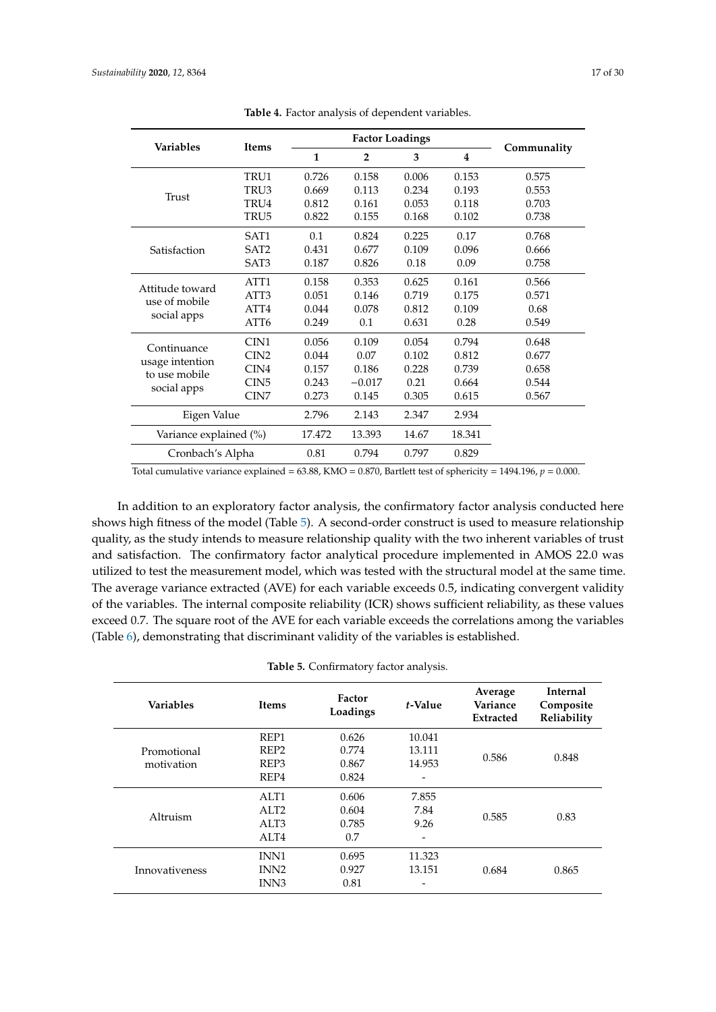<span id="page-16-0"></span>

| <b>Variables</b>       | <b>Items</b>     |              | <b>Factor Loadings</b> |       |        |             |
|------------------------|------------------|--------------|------------------------|-------|--------|-------------|
|                        |                  | $\mathbf{1}$ | $\overline{2}$         | 3     | 4      | Communality |
|                        | TRU1             | 0.726        | 0.158                  | 0.006 | 0.153  | 0.575       |
|                        | TRU3             | 0.669        | 0.113                  | 0.234 | 0.193  | 0.553       |
| <b>Trust</b>           | TRU <sub>4</sub> | 0.812        | 0.161                  | 0.053 | 0.118  | 0.703       |
|                        | TRU5             | 0.822        | 0.155                  | 0.168 | 0.102  | 0.738       |
|                        | SAT <sub>1</sub> | 0.1          | 0.824                  | 0.225 | 0.17   | 0.768       |
| Satisfaction           | SAT <sub>2</sub> | 0.431        | 0.677                  | 0.109 | 0.096  | 0.666       |
|                        | SAT <sub>3</sub> | 0.187        | 0.826                  | 0.18  | 0.09   | 0.758       |
| Attitude toward        | ATT <sub>1</sub> | 0.158        | 0.353                  | 0.625 | 0.161  | 0.566       |
| use of mobile          | ATT3             | 0.051        | 0.146                  | 0.719 | 0.175  | 0.571       |
| social apps            | ATT <sub>4</sub> | 0.044        | 0.078                  | 0.812 | 0.109  | 0.68        |
|                        | ATT6             | 0.249        | 0.1                    | 0.631 | 0.28   | 0.549       |
| Continuance            | CIN1             | 0.056        | 0.109                  | 0.054 | 0.794  | 0.648       |
| usage intention        | CIN2             | 0.044        | 0.07                   | 0.102 | 0.812  | 0.677       |
| to use mobile          | CIN4             | 0.157        | 0.186                  | 0.228 | 0.739  | 0.658       |
| social apps            | CIN <sub>5</sub> | 0.243        | $-0.017$               | 0.21  | 0.664  | 0.544       |
|                        | CIN7             | 0.273        | 0.145                  | 0.305 | 0.615  | 0.567       |
| Eigen Value            |                  | 2.796        | 2.143                  | 2.347 | 2.934  |             |
| Variance explained (%) |                  | 17.472       | 13.393                 | 14.67 | 18.341 |             |
| Cronbach's Alpha       |                  | 0.81         | 0.794                  | 0.797 | 0.829  |             |

**Table 4.** Factor analysis of dependent variables.

Total cumulative variance explained =  $63.88$ , KMO =  $0.870$ , Bartlett test of sphericity =  $1494.196$ ,  $p = 0.000$ .

In addition to an exploratory factor analysis, the confirmatory factor analysis conducted here shows high fitness of the model (Table [5\)](#page-17-0). A second-order construct is used to measure relationship quality, as the study intends to measure relationship quality with the two inherent variables of trust and satisfaction. The confirmatory factor analytical procedure implemented in AMOS 22.0 was utilized to test the measurement model, which was tested with the structural model at the same time. The average variance extracted (AVE) for each variable exceeds 0.5, indicating convergent validity of the variables. The internal composite reliability (ICR) shows sufficient reliability, as these values exceed 0.7. The square root of the AVE for each variable exceeds the correlations among the variables (Table [6\)](#page-18-0), demonstrating that discriminant validity of the variables is established.

| <b>Variables</b> | <b>Items</b>     | Factor<br>Loadings | t-Value | Average<br>Variance<br><b>Extracted</b> | <b>Internal</b><br>Composite<br>Reliability |
|------------------|------------------|--------------------|---------|-----------------------------------------|---------------------------------------------|
|                  | REP <sub>1</sub> | 0.626              | 10.041  |                                         |                                             |
| Promotional      | REP <sub>2</sub> | 0.774              | 13.111  | 0.586                                   | 0.848                                       |
| motivation       | REP3             | 0.867              | 14.953  |                                         |                                             |
|                  | REP4             | 0.824              | -       |                                         |                                             |
|                  | ATT1             | 0.606              | 7.855   |                                         |                                             |
| Altruism         | ALT <sub>2</sub> | 0.604              | 7.84    | 0.585                                   |                                             |
|                  | ALT3             | 0.785              | 9.26    |                                         | 0.83                                        |
|                  | AI.T4            | 0.7                |         |                                         |                                             |
|                  | INN <sub>1</sub> | 0.695              | 11.323  |                                         |                                             |
| Innovativeness   | INN <sub>2</sub> | 0.927              | 13.151  | 0.684                                   | 0.865                                       |
|                  | INN <sub>3</sub> | 0.81               |         |                                         |                                             |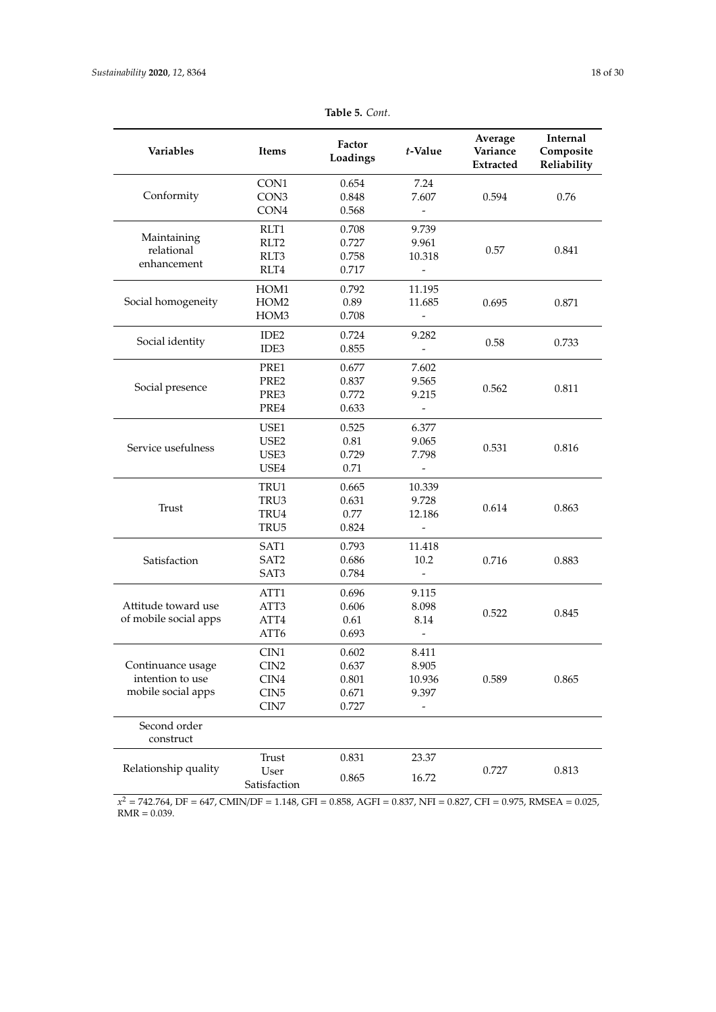<span id="page-17-0"></span>

| <b>Variables</b>                                            | Items                                                | Factor<br>Loadings                        | t-Value                                      | Average<br>Variance<br><b>Extracted</b> | Internal<br>Composite<br>Reliability |
|-------------------------------------------------------------|------------------------------------------------------|-------------------------------------------|----------------------------------------------|-----------------------------------------|--------------------------------------|
| Conformity                                                  | CON1<br>CON <sub>3</sub><br>CON4                     | 0.654<br>0.848<br>0.568                   | 7.24<br>7.607<br>$\overline{a}$              | 0.594                                   | 0.76                                 |
| Maintaining<br>relational<br>enhancement                    | RLT <sub>1</sub><br>RLT <sub>2</sub><br>RLT3<br>RLT4 | 0.708<br>0.727<br>0.758<br>0.717          | 9.739<br>9.961<br>10.318<br>$\overline{a}$   | 0.57                                    | 0.841                                |
| Social homogeneity                                          | HOM1<br>HOM <sub>2</sub><br>HOM3                     | 0.792<br>0.89<br>0.708                    | 11.195<br>11.685<br>$\overline{\phantom{0}}$ | 0.695                                   | 0.871                                |
| Social identity                                             | IDE <sub>2</sub><br>IDE3                             | 0.724<br>0.855                            | 9.282                                        | 0.58                                    | 0.733                                |
| Social presence                                             | PRE1<br>PRE2<br>PRE3<br>PRE4                         | 0.677<br>0.837<br>0.772<br>0.633          | 7.602<br>9.565<br>9.215<br>$\overline{a}$    | 0.562                                   | 0.811                                |
| Service usefulness                                          | USE1<br>USE <sub>2</sub><br>USE3<br>USE4             | 0.525<br>0.81<br>0.729<br>0.71            | 6.377<br>9.065<br>7.798<br>$\frac{1}{2}$     | 0.531                                   | 0.816                                |
| Trust                                                       | TRU1<br>TRU3<br>TRU4<br>TRU5                         | 0.665<br>0.631<br>0.77<br>0.824           | 10.339<br>9.728<br>12.186<br>$\frac{1}{2}$   | 0.614                                   | 0.863                                |
| Satisfaction                                                | SAT1<br>SAT <sub>2</sub><br>SAT3                     | 0.793<br>0.686<br>0.784                   | 11.418<br>10.2<br>$\overline{a}$             | 0.716                                   | 0.883                                |
| Attitude toward use<br>of mobile social apps                | ATT1<br>ATT3<br>ATT4<br>ATT6                         | 0.696<br>0.606<br>0.61<br>0.693           | 9.115<br>8.098<br>8.14<br>÷,                 | 0.522                                   | 0.845                                |
| Continuance usage<br>intention to use<br>mobile social apps | CIN1<br>CIN2<br>CIN4<br>CIN <sub>5</sub><br>CIN7     | 0.602<br>0.637<br>0.801<br>0.671<br>0.727 | 8.411<br>8.905<br>10.936<br>9.397<br>-       | 0.589                                   | 0.865                                |
| Second order<br>construct                                   |                                                      |                                           |                                              |                                         |                                      |
| Relationship quality                                        | Trust<br>User<br>Satisfaction                        | 0.831<br>0.865                            | 23.37<br>16.72                               | 0.727                                   | 0.813                                |

**Table 5.** *Cont.*

*x* <sup>2</sup> = 742.764, DF = 647, CMIN/DF = 1.148, GFI = 0.858, AGFI = 0.837, NFI = 0.827, CFI = 0.975, RMSEA = 0.025, RMR = 0.039.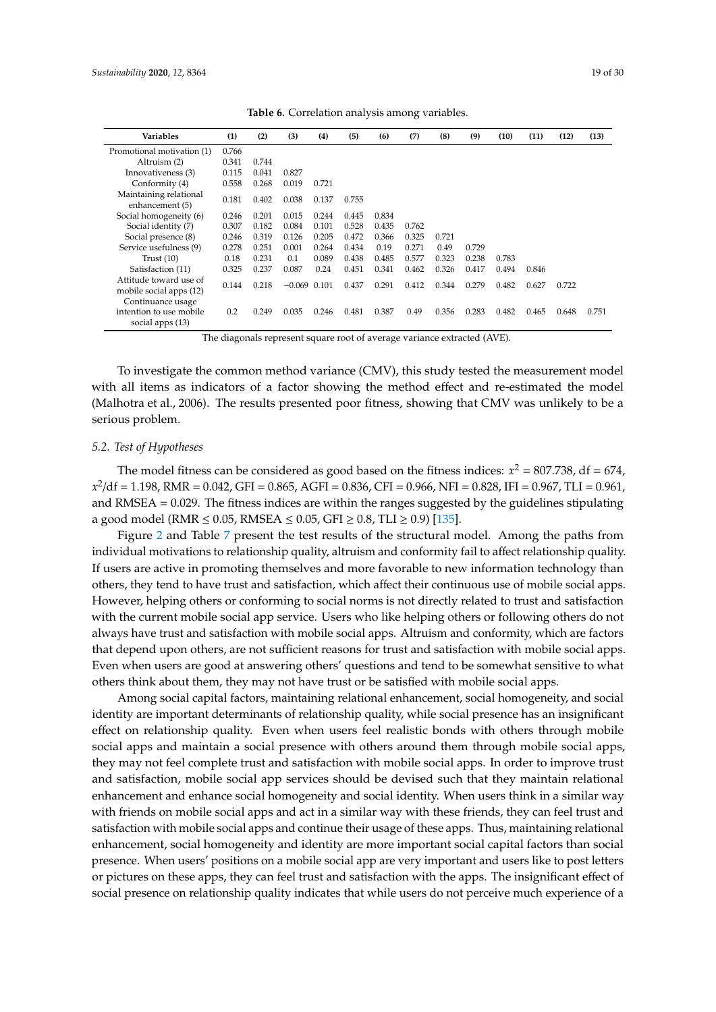<span id="page-18-0"></span>

| <b>Variables</b>                                                 | (1)   | (2)   | (3)      | (4)   | (5)   | (6)   | (7)   | (8)   | (9)   | (10)  | (11)  | (12)  | (13)  |
|------------------------------------------------------------------|-------|-------|----------|-------|-------|-------|-------|-------|-------|-------|-------|-------|-------|
| Promotional motivation (1)                                       | 0.766 |       |          |       |       |       |       |       |       |       |       |       |       |
| Altruism (2)                                                     | 0.341 | 0.744 |          |       |       |       |       |       |       |       |       |       |       |
| Innovativeness (3)                                               | 0.115 | 0.041 | 0.827    |       |       |       |       |       |       |       |       |       |       |
| Conformity (4)                                                   | 0.558 | 0.268 | 0.019    | 0.721 |       |       |       |       |       |       |       |       |       |
| Maintaining relational<br>enhancement (5)                        | 0.181 | 0.402 | 0.038    | 0.137 | 0.755 |       |       |       |       |       |       |       |       |
| Social homogeneity (6)                                           | 0.246 | 0.201 | 0.015    | 0.244 | 0.445 | 0.834 |       |       |       |       |       |       |       |
| Social identity (7)                                              | 0.307 | 0.182 | 0.084    | 0.101 | 0.528 | 0.435 | 0.762 |       |       |       |       |       |       |
| Social presence (8)                                              | 0.246 | 0.319 | 0.126    | 0.205 | 0.472 | 0.366 | 0.325 | 0.721 |       |       |       |       |       |
| Service usefulness (9)                                           | 0.278 | 0.251 | 0.001    | 0.264 | 0.434 | 0.19  | 0.271 | 0.49  | 0.729 |       |       |       |       |
| Trust $(10)$                                                     | 0.18  | 0.231 | 0.1      | 0.089 | 0.438 | 0.485 | 0.577 | 0.323 | 0.238 | 0.783 |       |       |       |
| Satisfaction (11)                                                | 0.325 | 0.237 | 0.087    | 0.24  | 0.451 | 0.341 | 0.462 | 0.326 | 0.417 | 0.494 | 0.846 |       |       |
| Attitude toward use of<br>mobile social apps (12)                | 0.144 | 0.218 | $-0.069$ | 0.101 | 0.437 | 0.291 | 0.412 | 0.344 | 0.279 | 0.482 | 0.627 | 0.722 |       |
| Continuance usage<br>intention to use mobile<br>social apps (13) | 0.2   | 0.249 | 0.035    | 0.246 | 0.481 | 0.387 | 0.49  | 0.356 | 0.283 | 0.482 | 0.465 | 0.648 | 0.751 |

**Table 6.** Correlation analysis among variables.

The diagonals represent square root of average variance extracted (AVE).

To investigate the common method variance (CMV), this study tested the measurement model with all items as indicators of a factor showing the method effect and re-estimated the model (Malhotra et al., 2006). The results presented poor fitness, showing that CMV was unlikely to be a serious problem.

#### *5.2. Test of Hypotheses*

The model fitness can be considered as good based on the fitness indices:  $x^2 = 807.738$ , df = 674, *x* 2 /df = 1.198, RMR = 0.042, GFI = 0.865, AGFI = 0.836, CFI = 0.966, NFI = 0.828, IFI = 0.967, TLI = 0.961, and RMSEA = 0.029. The fitness indices are within the ranges suggested by the guidelines stipulating a good model (RMR ≤ 0.05, RMSEA ≤ 0.05, GFI ≥ 0.8, TLI ≥ 0.9) [\[135\]](#page-29-7).

Figure [2](#page-19-0) and Table [7](#page-20-0) present the test results of the structural model. Among the paths from individual motivations to relationship quality, altruism and conformity fail to affect relationship quality. If users are active in promoting themselves and more favorable to new information technology than others, they tend to have trust and satisfaction, which affect their continuous use of mobile social apps. However, helping others or conforming to social norms is not directly related to trust and satisfaction with the current mobile social app service. Users who like helping others or following others do not always have trust and satisfaction with mobile social apps. Altruism and conformity, which are factors that depend upon others, are not sufficient reasons for trust and satisfaction with mobile social apps. Even when users are good at answering others' questions and tend to be somewhat sensitive to what others think about them, they may not have trust or be satisfied with mobile social apps.

Among social capital factors, maintaining relational enhancement, social homogeneity, and social identity are important determinants of relationship quality, while social presence has an insignificant effect on relationship quality. Even when users feel realistic bonds with others through mobile social apps and maintain a social presence with others around them through mobile social apps, they may not feel complete trust and satisfaction with mobile social apps. In order to improve trust and satisfaction, mobile social app services should be devised such that they maintain relational enhancement and enhance social homogeneity and social identity. When users think in a similar way with friends on mobile social apps and act in a similar way with these friends, they can feel trust and satisfaction with mobile social apps and continue their usage of these apps. Thus, maintaining relational enhancement, social homogeneity and identity are more important social capital factors than social presence. When users' positions on a mobile social app are very important and users like to post letters or pictures on these apps, they can feel trust and satisfaction with the apps. The insignificant effect of social presence on relationship quality indicates that while users do not perceive much experience of a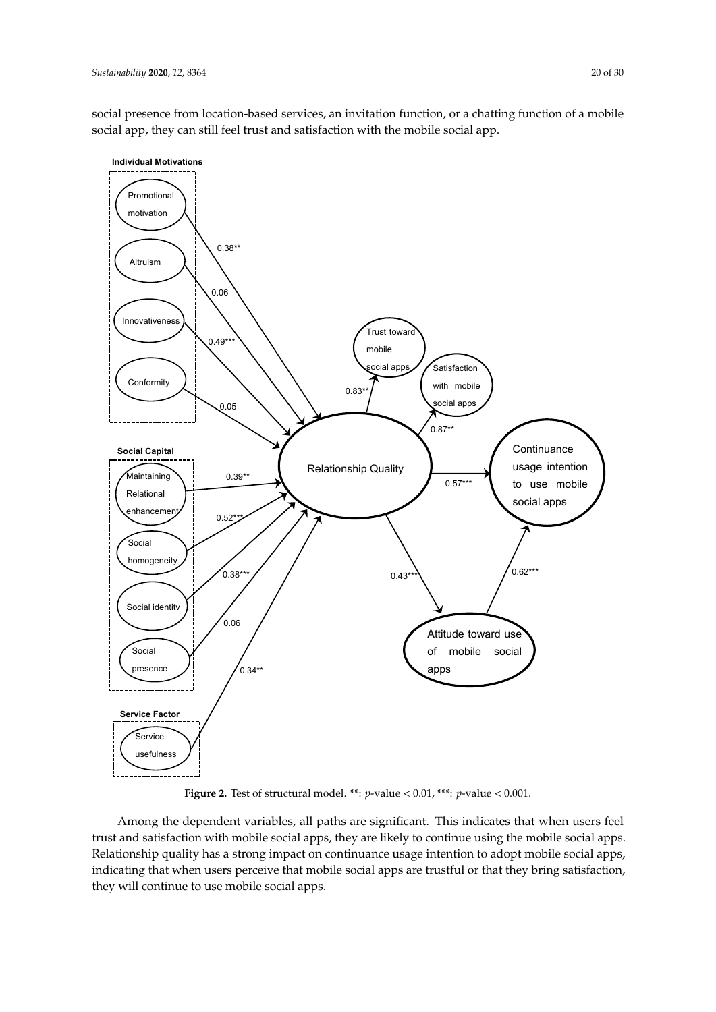social presence from location-based services, an invitation function, or a chatting function of a mobile social app, they can still feel trust and satisfaction with the mobile social app. as presence non

<span id="page-19-0"></span>

**Figure 2.** Test of structural model. \*\*: *p*-value < 0.01, \*\*\*: *p*-value < 0.001.

Among the dependent variables, all paths are significant. This indicates that when users feel trust and satisfaction with mobile social apps, they are likely to continue using the mobile social apps. Relationship quality has a strong impact on continuance usage intention to adopt mobile social apps, indicating that when users perceive that mobile social apps are trustful or that they bring satisfaction, they will continue to use mobile social apps.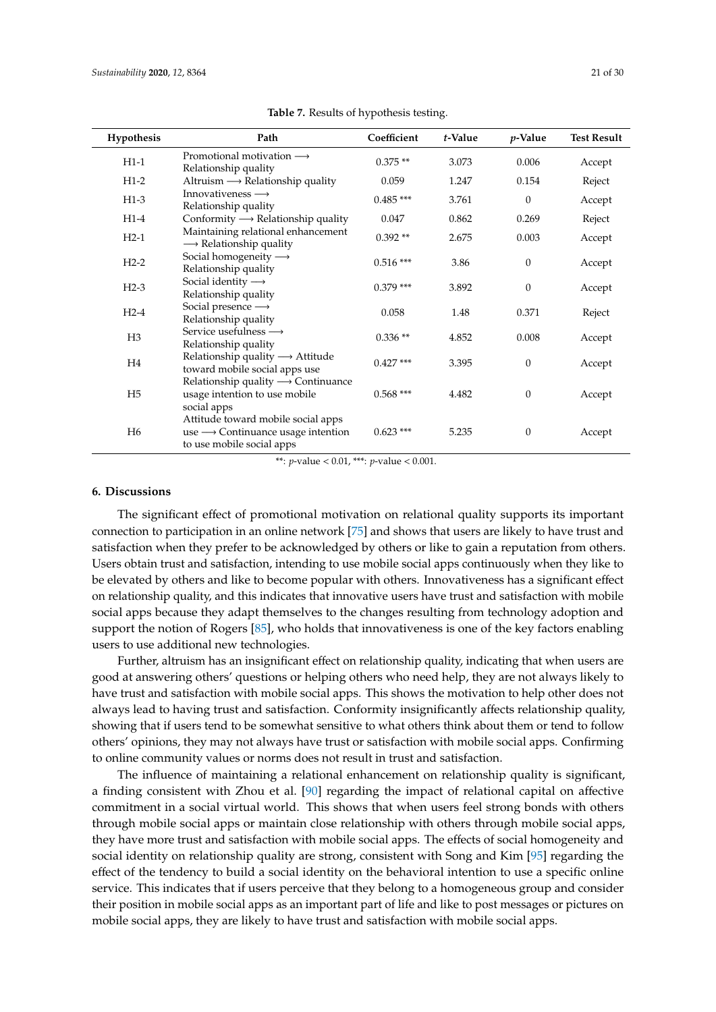<span id="page-20-0"></span>

| Hypothesis     | Path                                                                                                                 | Coefficient | t-Value | $p$ -Value   | <b>Test Result</b> |
|----------------|----------------------------------------------------------------------------------------------------------------------|-------------|---------|--------------|--------------------|
| $H1-1$         | Promotional motivation $\longrightarrow$<br>Relationship quality                                                     | $0.375**$   | 3.073   | 0.006        | Accept             |
| $H1-2$         | Altruism $\longrightarrow$ Relationship quality                                                                      | 0.059       | 1.247   | 0.154        | Reject             |
| $H1-3$         | Innovativeness $\longrightarrow$<br>Relationship quality                                                             | $0.485***$  | 3.761   | $\Omega$     | Accept             |
| $H1-4$         | Conformity $\longrightarrow$ Relationship quality                                                                    | 0.047       | 0.862   | 0.269        | Reject             |
| $H2-1$         | Maintaining relational enhancement<br>$\rightarrow$ Relationship quality                                             | $0.392**$   | 2.675   | 0.003        | Accept             |
| $H2-2$         | Social homogeneity $\longrightarrow$<br>Relationship quality                                                         | $0.516***$  | 3.86    | $\mathbf{0}$ | Accept             |
| $H2-3$         | Social identity $\longrightarrow$<br>Relationship quality                                                            | $0.379$ *** | 3.892   | $\Omega$     | Accept             |
| $H2-4$         | Social presence -<br>Relationship quality                                                                            | 0.058       | 1.48    | 0.371        | Reject             |
| H <sub>3</sub> | Service usefulness $\longrightarrow$<br>Relationship quality                                                         | $0.336**$   | 4.852   | 0.008        | Accept             |
| H4             | Relationship quality $\longrightarrow$ Attitude<br>toward mobile social apps use                                     | $0.427$ *** | 3.395   | $\Omega$     | Accept             |
| H <sub>5</sub> | Relationship quality $\longrightarrow$ Continuance<br>usage intention to use mobile<br>social apps                   | $0.568$ *** | 4.482   | $\mathbf{0}$ | Accept             |
| H <sub>6</sub> | Attitude toward mobile social apps<br>use $\longrightarrow$ Continuance usage intention<br>to use mobile social apps | $0.623$ *** | 5.235   | $\mathbf{0}$ | Accept             |

**Table 7.** Results of hypothesis testing.

\*\*: *p*-value < 0.01, \*\*\*: *p*-value < 0.001.

#### **6. Discussions**

The significant effect of promotional motivation on relational quality supports its important connection to participation in an online network [\[75\]](#page-27-0) and shows that users are likely to have trust and satisfaction when they prefer to be acknowledged by others or like to gain a reputation from others. Users obtain trust and satisfaction, intending to use mobile social apps continuously when they like to be elevated by others and like to become popular with others. Innovativeness has a significant effect on relationship quality, and this indicates that innovative users have trust and satisfaction with mobile social apps because they adapt themselves to the changes resulting from technology adoption and support the notion of Rogers [\[85\]](#page-27-10), who holds that innovativeness is one of the key factors enabling users to use additional new technologies.

Further, altruism has an insignificant effect on relationship quality, indicating that when users are good at answering others' questions or helping others who need help, they are not always likely to have trust and satisfaction with mobile social apps. This shows the motivation to help other does not always lead to having trust and satisfaction. Conformity insignificantly affects relationship quality, showing that if users tend to be somewhat sensitive to what others think about them or tend to follow others' opinions, they may not always have trust or satisfaction with mobile social apps. Confirming to online community values or norms does not result in trust and satisfaction.

The influence of maintaining a relational enhancement on relationship quality is significant, a finding consistent with Zhou et al. [\[90\]](#page-27-15) regarding the impact of relational capital on affective commitment in a social virtual world. This shows that when users feel strong bonds with others through mobile social apps or maintain close relationship with others through mobile social apps, they have more trust and satisfaction with mobile social apps. The effects of social homogeneity and social identity on relationship quality are strong, consistent with Song and Kim [\[95\]](#page-27-20) regarding the effect of the tendency to build a social identity on the behavioral intention to use a specific online service. This indicates that if users perceive that they belong to a homogeneous group and consider their position in mobile social apps as an important part of life and like to post messages or pictures on mobile social apps, they are likely to have trust and satisfaction with mobile social apps.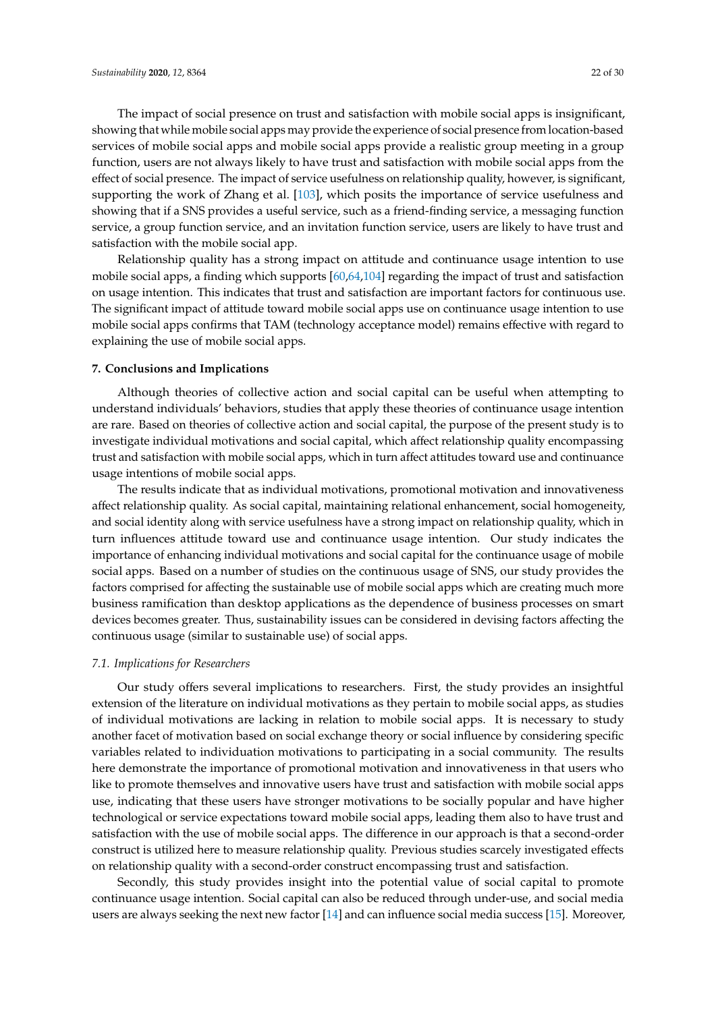The impact of social presence on trust and satisfaction with mobile social apps is insignificant, showing that while mobile social apps may provide the experience of social presence from location-based services of mobile social apps and mobile social apps provide a realistic group meeting in a group function, users are not always likely to have trust and satisfaction with mobile social apps from the effect of social presence. The impact of service usefulness on relationship quality, however, is significant, supporting the work of Zhang et al. [\[103\]](#page-28-2), which posits the importance of service usefulness and showing that if a SNS provides a useful service, such as a friend-finding service, a messaging function service, a group function service, and an invitation function service, users are likely to have trust and satisfaction with the mobile social app.

Relationship quality has a strong impact on attitude and continuance usage intention to use mobile social apps, a finding which supports [\[60,](#page-26-12)[64,](#page-26-16)[104\]](#page-28-3) regarding the impact of trust and satisfaction on usage intention. This indicates that trust and satisfaction are important factors for continuous use. The significant impact of attitude toward mobile social apps use on continuance usage intention to use mobile social apps confirms that TAM (technology acceptance model) remains effective with regard to explaining the use of mobile social apps.

#### **7. Conclusions and Implications**

Although theories of collective action and social capital can be useful when attempting to understand individuals' behaviors, studies that apply these theories of continuance usage intention are rare. Based on theories of collective action and social capital, the purpose of the present study is to investigate individual motivations and social capital, which affect relationship quality encompassing trust and satisfaction with mobile social apps, which in turn affect attitudes toward use and continuance usage intentions of mobile social apps.

The results indicate that as individual motivations, promotional motivation and innovativeness affect relationship quality. As social capital, maintaining relational enhancement, social homogeneity, and social identity along with service usefulness have a strong impact on relationship quality, which in turn influences attitude toward use and continuance usage intention. Our study indicates the importance of enhancing individual motivations and social capital for the continuance usage of mobile social apps. Based on a number of studies on the continuous usage of SNS, our study provides the factors comprised for affecting the sustainable use of mobile social apps which are creating much more business ramification than desktop applications as the dependence of business processes on smart devices becomes greater. Thus, sustainability issues can be considered in devising factors affecting the continuous usage (similar to sustainable use) of social apps.

# *7.1. Implications for Researchers*

Our study offers several implications to researchers. First, the study provides an insightful extension of the literature on individual motivations as they pertain to mobile social apps, as studies of individual motivations are lacking in relation to mobile social apps. It is necessary to study another facet of motivation based on social exchange theory or social influence by considering specific variables related to individuation motivations to participating in a social community. The results here demonstrate the importance of promotional motivation and innovativeness in that users who like to promote themselves and innovative users have trust and satisfaction with mobile social apps use, indicating that these users have stronger motivations to be socially popular and have higher technological or service expectations toward mobile social apps, leading them also to have trust and satisfaction with the use of mobile social apps. The difference in our approach is that a second-order construct is utilized here to measure relationship quality. Previous studies scarcely investigated effects on relationship quality with a second-order construct encompassing trust and satisfaction.

Secondly, this study provides insight into the potential value of social capital to promote continuance usage intention. Social capital can also be reduced through under-use, and social media users are always seeking the next new factor [\[14\]](#page-24-13) and can influence social media success [\[15\]](#page-24-14). Moreover,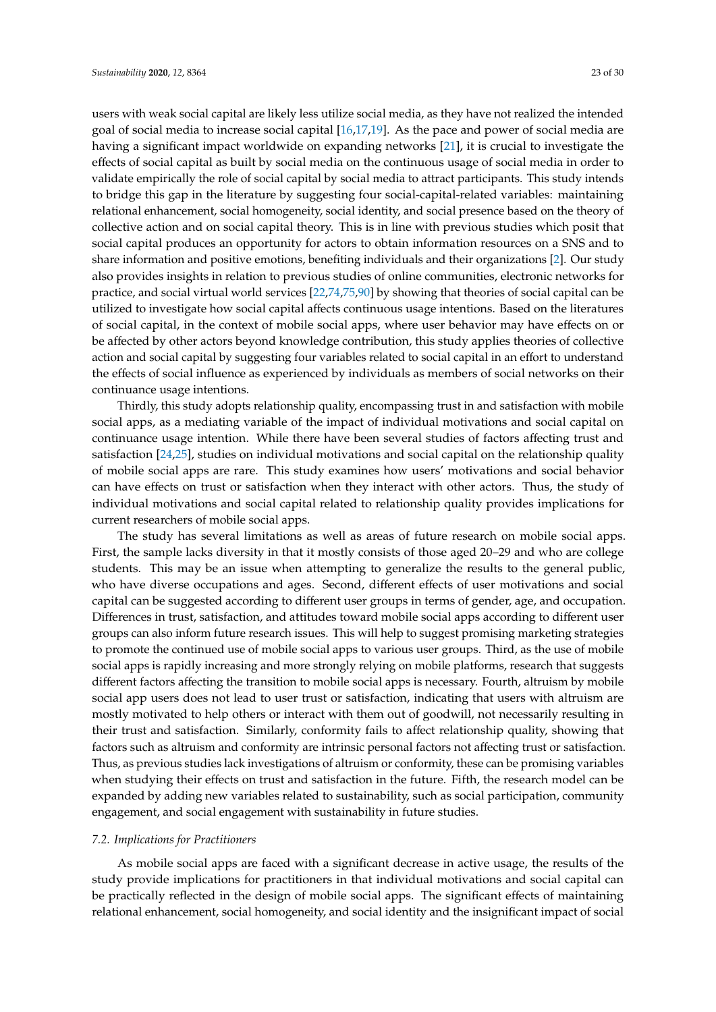users with weak social capital are likely less utilize social media, as they have not realized the intended goal of social media to increase social capital [\[16](#page-24-15)[,17](#page-24-20)[,19\]](#page-24-16). As the pace and power of social media are having a significant impact worldwide on expanding networks [\[21\]](#page-24-18), it is crucial to investigate the effects of social capital as built by social media on the continuous usage of social media in order to validate empirically the role of social capital by social media to attract participants. This study intends to bridge this gap in the literature by suggesting four social-capital-related variables: maintaining relational enhancement, social homogeneity, social identity, and social presence based on the theory of collective action and on social capital theory. This is in line with previous studies which posit that social capital produces an opportunity for actors to obtain information resources on a SNS and to share information and positive emotions, benefiting individuals and their organizations [\[2\]](#page-24-1). Our study also provides insights in relation to previous studies of online communities, electronic networks for practice, and social virtual world services [\[22,](#page-24-19)[74](#page-26-26)[,75](#page-27-0)[,90\]](#page-27-15) by showing that theories of social capital can be utilized to investigate how social capital affects continuous usage intentions. Based on the literatures of social capital, in the context of mobile social apps, where user behavior may have effects on or be affected by other actors beyond knowledge contribution, this study applies theories of collective action and social capital by suggesting four variables related to social capital in an effort to understand the effects of social influence as experienced by individuals as members of social networks on their continuance usage intentions.

Thirdly, this study adopts relationship quality, encompassing trust in and satisfaction with mobile social apps, as a mediating variable of the impact of individual motivations and social capital on continuance usage intention. While there have been several studies of factors affecting trust and satisfaction [\[24](#page-25-1)[,25\]](#page-25-2), studies on individual motivations and social capital on the relationship quality of mobile social apps are rare. This study examines how users' motivations and social behavior can have effects on trust or satisfaction when they interact with other actors. Thus, the study of individual motivations and social capital related to relationship quality provides implications for current researchers of mobile social apps.

The study has several limitations as well as areas of future research on mobile social apps. First, the sample lacks diversity in that it mostly consists of those aged 20–29 and who are college students. This may be an issue when attempting to generalize the results to the general public, who have diverse occupations and ages. Second, different effects of user motivations and social capital can be suggested according to different user groups in terms of gender, age, and occupation. Differences in trust, satisfaction, and attitudes toward mobile social apps according to different user groups can also inform future research issues. This will help to suggest promising marketing strategies to promote the continued use of mobile social apps to various user groups. Third, as the use of mobile social apps is rapidly increasing and more strongly relying on mobile platforms, research that suggests different factors affecting the transition to mobile social apps is necessary. Fourth, altruism by mobile social app users does not lead to user trust or satisfaction, indicating that users with altruism are mostly motivated to help others or interact with them out of goodwill, not necessarily resulting in their trust and satisfaction. Similarly, conformity fails to affect relationship quality, showing that factors such as altruism and conformity are intrinsic personal factors not affecting trust or satisfaction. Thus, as previous studies lack investigations of altruism or conformity, these can be promising variables when studying their effects on trust and satisfaction in the future. Fifth, the research model can be expanded by adding new variables related to sustainability, such as social participation, community engagement, and social engagement with sustainability in future studies.

#### *7.2. Implications for Practitioners*

As mobile social apps are faced with a significant decrease in active usage, the results of the study provide implications for practitioners in that individual motivations and social capital can be practically reflected in the design of mobile social apps. The significant effects of maintaining relational enhancement, social homogeneity, and social identity and the insignificant impact of social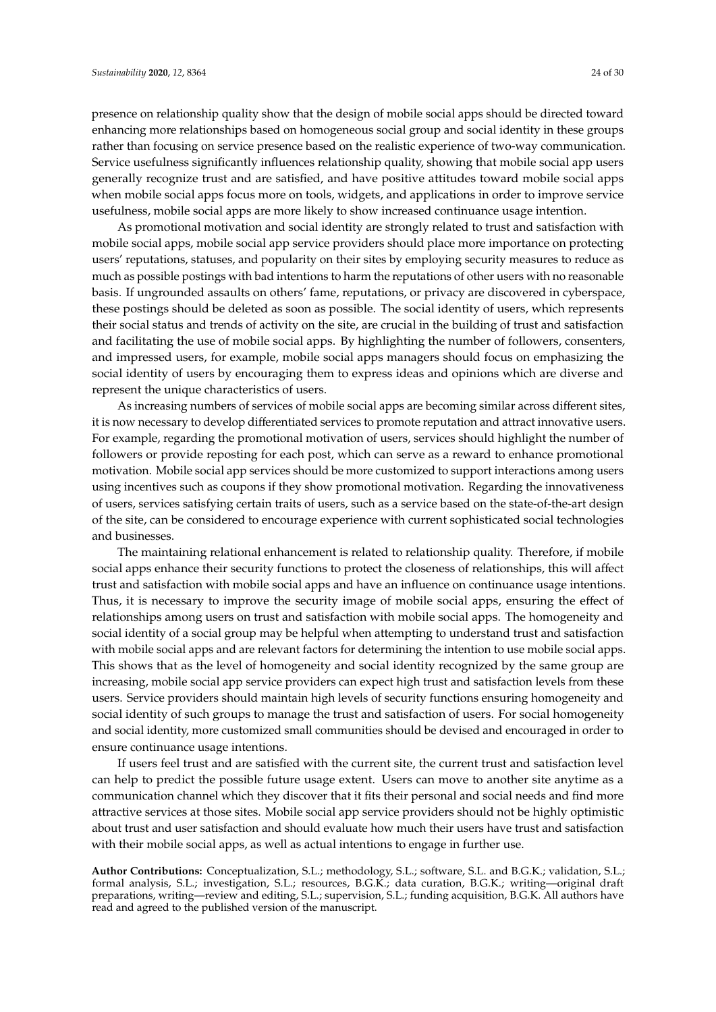presence on relationship quality show that the design of mobile social apps should be directed toward enhancing more relationships based on homogeneous social group and social identity in these groups rather than focusing on service presence based on the realistic experience of two-way communication. Service usefulness significantly influences relationship quality, showing that mobile social app users generally recognize trust and are satisfied, and have positive attitudes toward mobile social apps when mobile social apps focus more on tools, widgets, and applications in order to improve service usefulness, mobile social apps are more likely to show increased continuance usage intention.

As promotional motivation and social identity are strongly related to trust and satisfaction with mobile social apps, mobile social app service providers should place more importance on protecting users' reputations, statuses, and popularity on their sites by employing security measures to reduce as much as possible postings with bad intentions to harm the reputations of other users with no reasonable basis. If ungrounded assaults on others' fame, reputations, or privacy are discovered in cyberspace, these postings should be deleted as soon as possible. The social identity of users, which represents their social status and trends of activity on the site, are crucial in the building of trust and satisfaction and facilitating the use of mobile social apps. By highlighting the number of followers, consenters, and impressed users, for example, mobile social apps managers should focus on emphasizing the social identity of users by encouraging them to express ideas and opinions which are diverse and represent the unique characteristics of users.

As increasing numbers of services of mobile social apps are becoming similar across different sites, it is now necessary to develop differentiated services to promote reputation and attract innovative users. For example, regarding the promotional motivation of users, services should highlight the number of followers or provide reposting for each post, which can serve as a reward to enhance promotional motivation. Mobile social app services should be more customized to support interactions among users using incentives such as coupons if they show promotional motivation. Regarding the innovativeness of users, services satisfying certain traits of users, such as a service based on the state-of-the-art design of the site, can be considered to encourage experience with current sophisticated social technologies and businesses.

The maintaining relational enhancement is related to relationship quality. Therefore, if mobile social apps enhance their security functions to protect the closeness of relationships, this will affect trust and satisfaction with mobile social apps and have an influence on continuance usage intentions. Thus, it is necessary to improve the security image of mobile social apps, ensuring the effect of relationships among users on trust and satisfaction with mobile social apps. The homogeneity and social identity of a social group may be helpful when attempting to understand trust and satisfaction with mobile social apps and are relevant factors for determining the intention to use mobile social apps. This shows that as the level of homogeneity and social identity recognized by the same group are increasing, mobile social app service providers can expect high trust and satisfaction levels from these users. Service providers should maintain high levels of security functions ensuring homogeneity and social identity of such groups to manage the trust and satisfaction of users. For social homogeneity and social identity, more customized small communities should be devised and encouraged in order to ensure continuance usage intentions.

If users feel trust and are satisfied with the current site, the current trust and satisfaction level can help to predict the possible future usage extent. Users can move to another site anytime as a communication channel which they discover that it fits their personal and social needs and find more attractive services at those sites. Mobile social app service providers should not be highly optimistic about trust and user satisfaction and should evaluate how much their users have trust and satisfaction with their mobile social apps, as well as actual intentions to engage in further use.

**Author Contributions:** Conceptualization, S.L.; methodology, S.L.; software, S.L. and B.G.K.; validation, S.L.; formal analysis, S.L.; investigation, S.L.; resources, B.G.K.; data curation, B.G.K.; writing—original draft preparations, writing—review and editing, S.L.; supervision, S.L.; funding acquisition, B.G.K. All authors have read and agreed to the published version of the manuscript.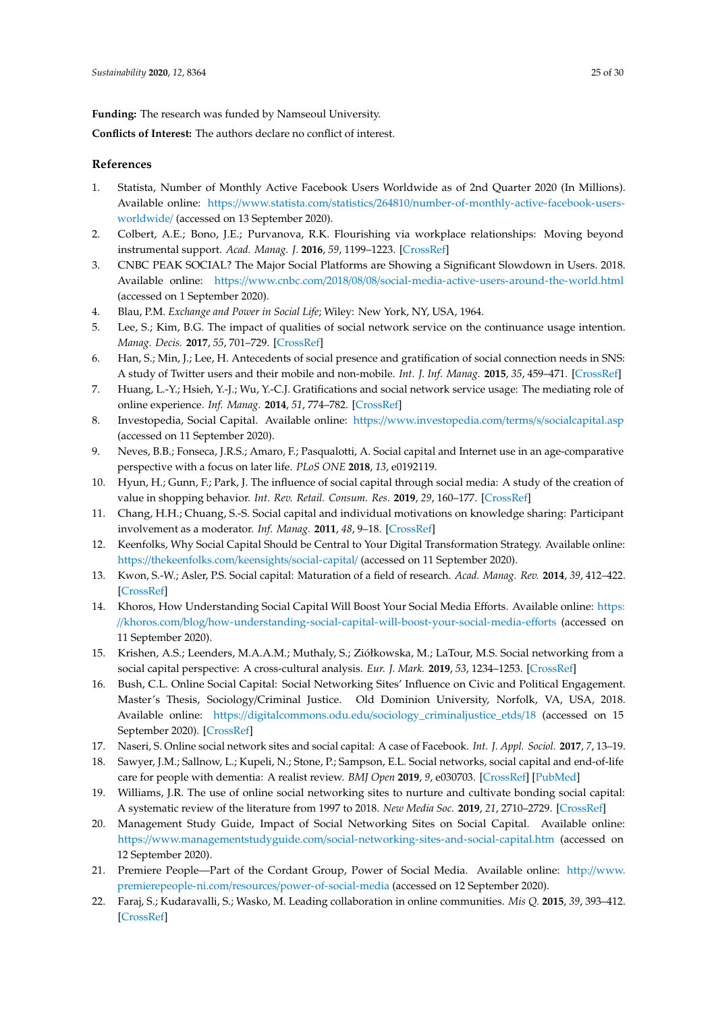**Funding:** The research was funded by Namseoul University.

**Conflicts of Interest:** The authors declare no conflict of interest.

# **References**

- <span id="page-24-0"></span>1. Statista, Number of Monthly Active Facebook Users Worldwide as of 2nd Quarter 2020 (In Millions). Available online: https://www.statista.com/statistics/264810/[number-of-monthly-active-facebook-users](https://www.statista.com/statistics/264810/number-of-monthly-active-facebook-users-worldwide/)[worldwide](https://www.statista.com/statistics/264810/number-of-monthly-active-facebook-users-worldwide/)/ (accessed on 13 September 2020).
- <span id="page-24-1"></span>2. Colbert, A.E.; Bono, J.E.; Purvanova, R.K. Flourishing via workplace relationships: Moving beyond instrumental support. *Acad. Manag. J.* **2016**, *59*, 1199–1223. [\[CrossRef\]](http://dx.doi.org/10.5465/amj.2014.0506)
- <span id="page-24-2"></span>3. CNBC PEAK SOCIAL? The Major Social Platforms are Showing a Significant Slowdown in Users. 2018. Available online: https://www.cnbc.com/2018/08/08/[social-media-active-users-around-the-world.html](https://www.cnbc.com/2018/08/08/social-media-active-users-around-the-world.html) (accessed on 1 September 2020).
- <span id="page-24-3"></span>4. Blau, P.M. *Exchange and Power in Social Life*; Wiley: New York, NY, USA, 1964.
- <span id="page-24-4"></span>5. Lee, S.; Kim, B.G. The impact of qualities of social network service on the continuance usage intention. *Manag. Decis.* **2017**, *55*, 701–729. [\[CrossRef\]](http://dx.doi.org/10.1108/MD-10-2016-0731)
- <span id="page-24-5"></span>6. Han, S.; Min, J.; Lee, H. Antecedents of social presence and gratification of social connection needs in SNS: A study of Twitter users and their mobile and non-mobile. *Int. J. Inf. Manag.* **2015**, *35*, 459–471. [\[CrossRef\]](http://dx.doi.org/10.1016/j.ijinfomgt.2015.04.004)
- <span id="page-24-6"></span>7. Huang, L.-Y.; Hsieh, Y.-J.; Wu, Y.-C.J. Gratifications and social network service usage: The mediating role of online experience. *Inf. Manag.* **2014**, *51*, 774–782. [\[CrossRef\]](http://dx.doi.org/10.1016/j.im.2014.05.004)
- <span id="page-24-7"></span>8. Investopedia, Social Capital. Available online: https://[www.investopedia.com](https://www.investopedia.com/terms/s/socialcapital.asp)/terms/s/socialcapital.asp (accessed on 11 September 2020).
- <span id="page-24-8"></span>9. Neves, B.B.; Fonseca, J.R.S.; Amaro, F.; Pasqualotti, A. Social capital and Internet use in an age-comparative perspective with a focus on later life. *PLoS ONE* **2018**, *13*, e0192119.
- <span id="page-24-9"></span>10. Hyun, H.; Gunn, F.; Park, J. The influence of social capital through social media: A study of the creation of value in shopping behavior. *Int. Rev. Retail. Consum. Res.* **2019**, *29*, 160–177. [\[CrossRef\]](http://dx.doi.org/10.1080/09593969.2018.1555543)
- <span id="page-24-10"></span>11. Chang, H.H.; Chuang, S.-S. Social capital and individual motivations on knowledge sharing: Participant involvement as a moderator. *Inf. Manag.* **2011**, *48*, 9–18. [\[CrossRef\]](http://dx.doi.org/10.1016/j.im.2010.11.001)
- <span id="page-24-11"></span>12. Keenfolks, Why Social Capital Should be Central to Your Digital Transformation Strategy. Available online: https://[thekeenfolks.com](https://thekeenfolks.com/keensights/social-capital/)/keensights/social-capital/ (accessed on 11 September 2020).
- <span id="page-24-12"></span>13. Kwon, S.-W.; Asler, P.S. Social capital: Maturation of a field of research. *Acad. Manag. Rev.* **2014**, *39*, 412–422. [\[CrossRef\]](http://dx.doi.org/10.5465/amr.2014.0210)
- <span id="page-24-13"></span>14. Khoros, How Understanding Social Capital Will Boost Your Social Media Efforts. Available online: [https:](https://khoros.com/blog/how-understanding-social-capital-will-boost-your-social-media-efforts) //khoros.com/blog/[how-understanding-social-capital-will-boost-your-social-media-e](https://khoros.com/blog/how-understanding-social-capital-will-boost-your-social-media-efforts)fforts (accessed on 11 September 2020).
- <span id="page-24-14"></span>15. Krishen, A.S.; Leenders, M.A.A.M.; Muthaly, S.; Ziółkowska, M.; LaTour, M.S. Social networking from a social capital perspective: A cross-cultural analysis. *Eur. J. Mark.* **2019**, *53*, 1234–1253. [\[CrossRef\]](http://dx.doi.org/10.1108/EJM-12-2016-0892)
- <span id="page-24-15"></span>16. Bush, C.L. Online Social Capital: Social Networking Sites' Influence on Civic and Political Engagement. Master's Thesis, Sociology/Criminal Justice. Old Dominion University, Norfolk, VA, USA, 2018. Available online: https://digitalcommons.odu.edu/[sociology\\_criminaljustice\\_etds](https://digitalcommons.odu.edu/sociology_criminaljustice_etds/18)/18 (accessed on 15 September 2020). [\[CrossRef\]](http://dx.doi.org/10.25777/fd8a-mt66)
- <span id="page-24-20"></span>17. Naseri, S. Online social network sites and social capital: A case of Facebook. *Int. J. Appl. Sociol.* **2017**, *7*, 13–19.
- 18. Sawyer, J.M.; Sallnow, L.; Kupeli, N.; Stone, P.; Sampson, E.L. Social networks, social capital and end-of-life care for people with dementia: A realist review. *BMJ Open* **2019**, *9*, e030703. [\[CrossRef\]](http://dx.doi.org/10.1136/bmjopen-2019-030703) [\[PubMed\]](http://www.ncbi.nlm.nih.gov/pubmed/31822539)
- <span id="page-24-16"></span>19. Williams, J.R. The use of online social networking sites to nurture and cultivate bonding social capital: A systematic review of the literature from 1997 to 2018. *New Media Soc.* **2019**, *21*, 2710–2729. [\[CrossRef\]](http://dx.doi.org/10.1177/1461444819858749)
- <span id="page-24-17"></span>20. Management Study Guide, Impact of Social Networking Sites on Social Capital. Available online: https://www.managementstudyguide.com/[social-networking-sites-and-social-capital.htm](https://www.managementstudyguide.com/social-networking-sites-and-social-capital.htm) (accessed on 12 September 2020).
- <span id="page-24-18"></span>21. Premiere People—Part of the Cordant Group, Power of Social Media. Available online: http://[www.](http://www.premierepeople-ni.com/resources/power-of-social-media) [premierepeople-ni.com](http://www.premierepeople-ni.com/resources/power-of-social-media)/resources/power-of-social-media (accessed on 12 September 2020).
- <span id="page-24-19"></span>22. Faraj, S.; Kudaravalli, S.; Wasko, M. Leading collaboration in online communities. *Mis Q.* **2015**, *39*, 393–412. [\[CrossRef\]](http://dx.doi.org/10.25300/MISQ/2015/39.2.06)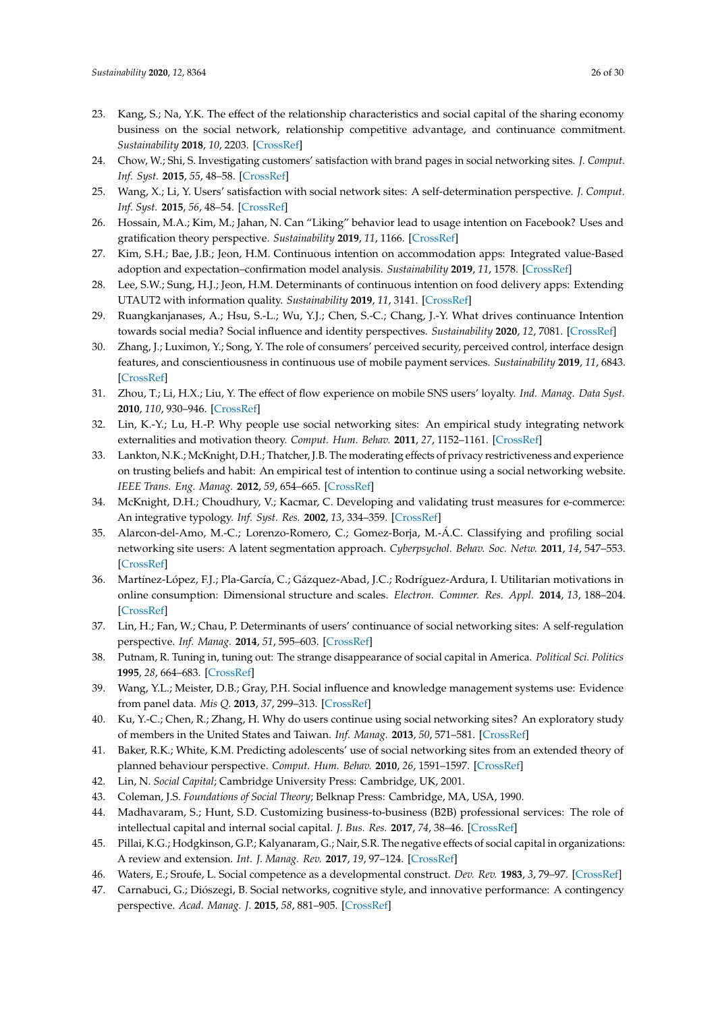- <span id="page-25-0"></span>23. Kang, S.; Na, Y.K. The effect of the relationship characteristics and social capital of the sharing economy business on the social network, relationship competitive advantage, and continuance commitment. *Sustainability* **2018**, *10*, 2203. [\[CrossRef\]](http://dx.doi.org/10.3390/su10072203)
- <span id="page-25-1"></span>24. Chow, W.; Shi, S. Investigating customers' satisfaction with brand pages in social networking sites. *J. Comput. Inf. Syst.* **2015**, *55*, 48–58. [\[CrossRef\]](http://dx.doi.org/10.1080/08874417.2015.11645756)
- <span id="page-25-2"></span>25. Wang, X.; Li, Y. Users' satisfaction with social network sites: A self-determination perspective. *J. Comput. Inf. Syst.* **2015**, *56*, 48–54. [\[CrossRef\]](http://dx.doi.org/10.1080/08874417.2015.11645800)
- <span id="page-25-3"></span>26. Hossain, M.A.; Kim, M.; Jahan, N. Can "Liking" behavior lead to usage intention on Facebook? Uses and gratification theory perspective. *Sustainability* **2019**, *11*, 1166. [\[CrossRef\]](http://dx.doi.org/10.3390/su11041166)
- 27. Kim, S.H.; Bae, J.B.; Jeon, H.M. Continuous intention on accommodation apps: Integrated value-Based adoption and expectation–confirmation model analysis. *Sustainability* **2019**, *11*, 1578. [\[CrossRef\]](http://dx.doi.org/10.3390/su11061578)
- 28. Lee, S.W.; Sung, H.J.; Jeon, H.M. Determinants of continuous intention on food delivery apps: Extending UTAUT2 with information quality. *Sustainability* **2019**, *11*, 3141. [\[CrossRef\]](http://dx.doi.org/10.3390/su11113141)
- 29. Ruangkanjanases, A.; Hsu, S.-L.; Wu, Y.J.; Chen, S.-C.; Chang, J.-Y. What drives continuance Intention towards social media? Social influence and identity perspectives. *Sustainability* **2020**, *12*, 7081. [\[CrossRef\]](http://dx.doi.org/10.3390/su12177081)
- <span id="page-25-4"></span>30. Zhang, J.; Luximon, Y.; Song, Y. The role of consumers' perceived security, perceived control, interface design features, and conscientiousness in continuous use of mobile payment services. *Sustainability* **2019**, *11*, 6843. [\[CrossRef\]](http://dx.doi.org/10.3390/su11236843)
- <span id="page-25-5"></span>31. Zhou, T.; Li, H.X.; Liu, Y. The effect of flow experience on mobile SNS users' loyalty. *Ind. Manag. Data Syst.* **2010**, *110*, 930–946. [\[CrossRef\]](http://dx.doi.org/10.1108/02635571011055126)
- <span id="page-25-7"></span>32. Lin, K.-Y.; Lu, H.-P. Why people use social networking sites: An empirical study integrating network externalities and motivation theory. *Comput. Hum. Behav.* **2011**, *27*, 1152–1161. [\[CrossRef\]](http://dx.doi.org/10.1016/j.chb.2010.12.009)
- <span id="page-25-6"></span>33. Lankton, N.K.; McKnight, D.H.; Thatcher, J.B. The moderating effects of privacy restrictiveness and experience on trusting beliefs and habit: An empirical test of intention to continue using a social networking website. *IEEE Trans. Eng. Manag.* **2012**, *59*, 654–665. [\[CrossRef\]](http://dx.doi.org/10.1109/TEM.2011.2179048)
- <span id="page-25-8"></span>34. McKnight, D.H.; Choudhury, V.; Kacmar, C. Developing and validating trust measures for e-commerce: An integrative typology. *Inf. Syst. Res.* **2002**, *13*, 334–359. [\[CrossRef\]](http://dx.doi.org/10.1287/isre.13.3.334.81)
- <span id="page-25-9"></span>35. Alarcon-del-Amo, M.-C.; Lorenzo-Romero, C.; Gomez-Borja, M.-Á.C. Classifying and profiling social networking site users: A latent segmentation approach. *Cyberpsychol. Behav. Soc. Netw.* **2011**, *14*, 547–553. [\[CrossRef\]](http://dx.doi.org/10.1089/cyber.2010.0346)
- <span id="page-25-10"></span>36. Martínez-López, F.J.; Pla-García, C.; Gázquez-Abad, J.C.; Rodríguez-Ardura, I. Utilitarian motivations in online consumption: Dimensional structure and scales. *Electron. Commer. Res. Appl.* **2014**, *13*, 188–204. [\[CrossRef\]](http://dx.doi.org/10.1016/j.elerap.2014.02.002)
- <span id="page-25-11"></span>37. Lin, H.; Fan, W.; Chau, P. Determinants of users' continuance of social networking sites: A self-regulation perspective. *Inf. Manag.* **2014**, *51*, 595–603. [\[CrossRef\]](http://dx.doi.org/10.1016/j.im.2014.03.010)
- <span id="page-25-12"></span>38. Putnam, R. Tuning in, tuning out: The strange disappearance of social capital in America. *Political Sci. Politics* **1995**, *28*, 664–683. [\[CrossRef\]](http://dx.doi.org/10.1017/S1049096500058856)
- <span id="page-25-13"></span>39. Wang, Y.L.; Meister, D.B.; Gray, P.H. Social influence and knowledge management systems use: Evidence from panel data. *Mis Q.* **2013**, *37*, 299–313. [\[CrossRef\]](http://dx.doi.org/10.25300/MISQ/2013/37.1.13)
- <span id="page-25-14"></span>40. Ku, Y.-C.; Chen, R.; Zhang, H. Why do users continue using social networking sites? An exploratory study of members in the United States and Taiwan. *Inf. Manag.* **2013**, *50*, 571–581. [\[CrossRef\]](http://dx.doi.org/10.1016/j.im.2013.07.011)
- <span id="page-25-15"></span>41. Baker, R.K.; White, K.M. Predicting adolescents' use of social networking sites from an extended theory of planned behaviour perspective. *Comput. Hum. Behav.* **2010**, *26*, 1591–1597. [\[CrossRef\]](http://dx.doi.org/10.1016/j.chb.2010.06.006)
- <span id="page-25-16"></span>42. Lin, N. *Social Capital*; Cambridge University Press: Cambridge, UK, 2001.
- <span id="page-25-17"></span>43. Coleman, J.S. *Foundations of Social Theory*; Belknap Press: Cambridge, MA, USA, 1990.
- <span id="page-25-18"></span>44. Madhavaram, S.; Hunt, S.D. Customizing business-to-business (B2B) professional services: The role of intellectual capital and internal social capital. *J. Bus. Res.* **2017**, *74*, 38–46. [\[CrossRef\]](http://dx.doi.org/10.1016/j.jbusres.2017.01.007)
- <span id="page-25-19"></span>45. Pillai, K.G.; Hodgkinson, G.P.; Kalyanaram, G.; Nair, S.R. The negative effects of social capital in organizations: A review and extension. *Int. J. Manag. Rev.* **2017**, *19*, 97–124. [\[CrossRef\]](http://dx.doi.org/10.1111/ijmr.12085)
- <span id="page-25-20"></span>46. Waters, E.; Sroufe, L. Social competence as a developmental construct. *Dev. Rev.* **1983**, *3*, 79–97. [\[CrossRef\]](http://dx.doi.org/10.1016/0273-2297(83)90010-2)
- <span id="page-25-21"></span>47. Carnabuci, G.; Diószegi, B. Social networks, cognitive style, and innovative performance: A contingency perspective. *Acad. Manag. J.* **2015**, *58*, 881–905. [\[CrossRef\]](http://dx.doi.org/10.5465/amj.2013.1042)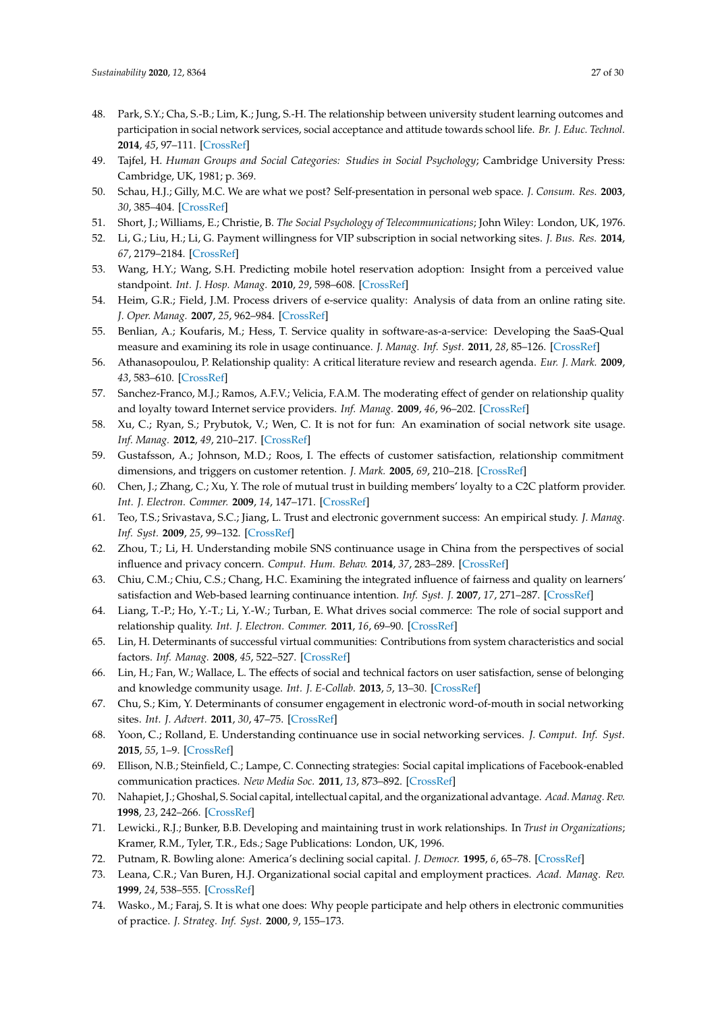- <span id="page-26-0"></span>48. Park, S.Y.; Cha, S.-B.; Lim, K.; Jung, S.-H. The relationship between university student learning outcomes and participation in social network services, social acceptance and attitude towards school life. *Br. J. Educ. Technol.* **2014**, *45*, 97–111. [\[CrossRef\]](http://dx.doi.org/10.1111/bjet.12013)
- <span id="page-26-1"></span>49. Tajfel, H. *Human Groups and Social Categories: Studies in Social Psychology*; Cambridge University Press: Cambridge, UK, 1981; p. 369.
- <span id="page-26-2"></span>50. Schau, H.J.; Gilly, M.C. We are what we post? Self-presentation in personal web space. *J. Consum. Res.* **2003**, *30*, 385–404. [\[CrossRef\]](http://dx.doi.org/10.1086/378616)
- <span id="page-26-3"></span>51. Short, J.; Williams, E.; Christie, B. *The Social Psychology of Telecommunications*; John Wiley: London, UK, 1976.
- <span id="page-26-4"></span>52. Li, G.; Liu, H.; Li, G. Payment willingness for VIP subscription in social networking sites. *J. Bus. Res.* **2014**, *67*, 2179–2184. [\[CrossRef\]](http://dx.doi.org/10.1016/j.jbusres.2014.04.028)
- <span id="page-26-5"></span>53. Wang, H.Y.; Wang, S.H. Predicting mobile hotel reservation adoption: Insight from a perceived value standpoint. *Int. J. Hosp. Manag.* **2010**, *29*, 598–608. [\[CrossRef\]](http://dx.doi.org/10.1016/j.ijhm.2009.11.001)
- <span id="page-26-6"></span>54. Heim, G.R.; Field, J.M. Process drivers of e-service quality: Analysis of data from an online rating site. *J. Oper. Manag.* **2007**, *25*, 962–984. [\[CrossRef\]](http://dx.doi.org/10.1016/j.jom.2006.10.002)
- <span id="page-26-7"></span>55. Benlian, A.; Koufaris, M.; Hess, T. Service quality in software-as-a-service: Developing the SaaS-Qual measure and examining its role in usage continuance. *J. Manag. Inf. Syst.* **2011**, *28*, 85–126. [\[CrossRef\]](http://dx.doi.org/10.2753/MIS0742-1222280303)
- <span id="page-26-8"></span>56. Athanasopoulou, P. Relationship quality: A critical literature review and research agenda. *Eur. J. Mark.* **2009**, *43*, 583–610. [\[CrossRef\]](http://dx.doi.org/10.1108/03090560910946945)
- <span id="page-26-27"></span><span id="page-26-9"></span>57. Sanchez-Franco, M.J.; Ramos, A.F.V.; Velicia, F.A.M. The moderating effect of gender on relationship quality and loyalty toward Internet service providers. *Inf. Manag.* **2009**, *46*, 96–202. [\[CrossRef\]](http://dx.doi.org/10.1016/j.im.2009.02.001)
- <span id="page-26-10"></span>58. Xu, C.; Ryan, S.; Prybutok, V.; Wen, C. It is not for fun: An examination of social network site usage. *Inf. Manag.* **2012**, *49*, 210–217. [\[CrossRef\]](http://dx.doi.org/10.1016/j.im.2012.05.001)
- <span id="page-26-11"></span>59. Gustafsson, A.; Johnson, M.D.; Roos, I. The effects of customer satisfaction, relationship commitment dimensions, and triggers on customer retention. *J. Mark.* **2005**, *69*, 210–218. [\[CrossRef\]](http://dx.doi.org/10.1509/jmkg.2005.69.4.210)
- <span id="page-26-12"></span>60. Chen, J.; Zhang, C.; Xu, Y. The role of mutual trust in building members' loyalty to a C2C platform provider. *Int. J. Electron. Commer.* **2009**, *14*, 147–171. [\[CrossRef\]](http://dx.doi.org/10.2753/JEC1086-4415140105)
- <span id="page-26-13"></span>61. Teo, T.S.; Srivastava, S.C.; Jiang, L. Trust and electronic government success: An empirical study. *J. Manag. Inf. Syst.* **2009**, *25*, 99–132. [\[CrossRef\]](http://dx.doi.org/10.2753/MIS0742-1222250303)
- <span id="page-26-14"></span>62. Zhou, T.; Li, H. Understanding mobile SNS continuance usage in China from the perspectives of social influence and privacy concern. *Comput. Hum. Behav.* **2014**, *37*, 283–289. [\[CrossRef\]](http://dx.doi.org/10.1016/j.chb.2014.05.008)
- <span id="page-26-15"></span>63. Chiu, C.M.; Chiu, C.S.; Chang, H.C. Examining the integrated influence of fairness and quality on learners' satisfaction and Web-based learning continuance intention. *Inf. Syst. J.* **2007**, *17*, 271–287. [\[CrossRef\]](http://dx.doi.org/10.1111/j.1365-2575.2007.00238.x)
- <span id="page-26-16"></span>64. Liang, T.-P.; Ho, Y.-T.; Li, Y.-W.; Turban, E. What drives social commerce: The role of social support and relationship quality. *Int. J. Electron. Commer.* **2011**, *16*, 69–90. [\[CrossRef\]](http://dx.doi.org/10.2753/JEC1086-4415160204)
- <span id="page-26-17"></span>65. Lin, H. Determinants of successful virtual communities: Contributions from system characteristics and social factors. *Inf. Manag.* **2008**, *45*, 522–527. [\[CrossRef\]](http://dx.doi.org/10.1016/j.im.2008.08.002)
- <span id="page-26-18"></span>66. Lin, H.; Fan, W.; Wallace, L. The effects of social and technical factors on user satisfaction, sense of belonging and knowledge community usage. *Int. J. E-Collab.* **2013**, *5*, 13–30. [\[CrossRef\]](http://dx.doi.org/10.4018/jec.2013070102)
- <span id="page-26-19"></span>67. Chu, S.; Kim, Y. Determinants of consumer engagement in electronic word-of-mouth in social networking sites. *Int. J. Advert.* **2011**, *30*, 47–75. [\[CrossRef\]](http://dx.doi.org/10.2501/IJA-30-1-047-075)
- <span id="page-26-20"></span>68. Yoon, C.; Rolland, E. Understanding continuance use in social networking services. *J. Comput. Inf. Syst.* **2015**, *55*, 1–9. [\[CrossRef\]](http://dx.doi.org/10.1080/08874417.2015.11645751)
- <span id="page-26-21"></span>69. Ellison, N.B.; Steinfield, C.; Lampe, C. Connecting strategies: Social capital implications of Facebook-enabled communication practices. *New Media Soc.* **2011**, *13*, 873–892. [\[CrossRef\]](http://dx.doi.org/10.1177/1461444810385389)
- <span id="page-26-22"></span>70. Nahapiet, J.; Ghoshal, S. Social capital, intellectual capital, and the organizational advantage. *Acad. Manag. Rev.* **1998**, *23*, 242–266. [\[CrossRef\]](http://dx.doi.org/10.5465/amr.1998.533225)
- <span id="page-26-23"></span>71. Lewicki., R.J.; Bunker, B.B. Developing and maintaining trust in work relationships. In *Trust in Organizations*; Kramer, R.M., Tyler, T.R., Eds.; Sage Publications: London, UK, 1996.
- <span id="page-26-24"></span>72. Putnam, R. Bowling alone: America's declining social capital. *J. Democr.* **1995**, *6*, 65–78. [\[CrossRef\]](http://dx.doi.org/10.1353/jod.1995.0002)
- <span id="page-26-25"></span>73. Leana, C.R.; Van Buren, H.J. Organizational social capital and employment practices. *Acad. Manag. Rev.* **1999**, *24*, 538–555. [\[CrossRef\]](http://dx.doi.org/10.5465/amr.1999.2202136)
- <span id="page-26-26"></span>74. Wasko., M.; Faraj, S. It is what one does: Why people participate and help others in electronic communities of practice. *J. Strateg. Inf. Syst.* **2000**, *9*, 155–173.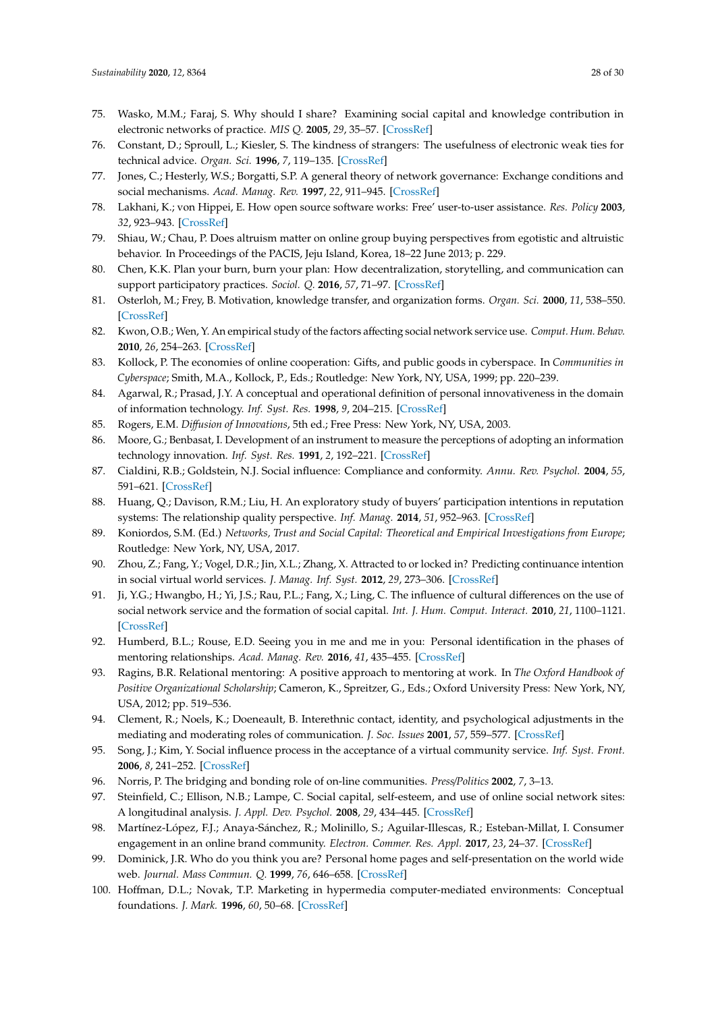- <span id="page-27-30"></span><span id="page-27-29"></span><span id="page-27-28"></span><span id="page-27-27"></span><span id="page-27-26"></span><span id="page-27-0"></span>75. Wasko, M.M.; Faraj, S. Why should I share? Examining social capital and knowledge contribution in electronic networks of practice. *MIS Q.* **2005**, *29*, 35–57. [\[CrossRef\]](http://dx.doi.org/10.2307/25148667)
- <span id="page-27-1"></span>76. Constant, D.; Sproull, L.; Kiesler, S. The kindness of strangers: The usefulness of electronic weak ties for technical advice. *Organ. Sci.* **1996**, *7*, 119–135. [\[CrossRef\]](http://dx.doi.org/10.1287/orsc.7.2.119)
- <span id="page-27-2"></span>77. Jones, C.; Hesterly, W.S.; Borgatti, S.P. A general theory of network governance: Exchange conditions and social mechanisms. *Acad. Manag. Rev.* **1997**, *22*, 911–945. [\[CrossRef\]](http://dx.doi.org/10.5465/amr.1997.9711022109)
- <span id="page-27-3"></span>78. Lakhani, K.; von Hippei, E. How open source software works: Free' user-to-user assistance. *Res. Policy* **2003**, *32*, 923–943. [\[CrossRef\]](http://dx.doi.org/10.1016/S0048-7333(02)00095-1)
- <span id="page-27-4"></span>79. Shiau, W.; Chau, P. Does altruism matter on online group buying perspectives from egotistic and altruistic behavior. In Proceedings of the PACIS, Jeju Island, Korea, 18–22 June 2013; p. 229.
- <span id="page-27-5"></span>80. Chen, K.K. Plan your burn, burn your plan: How decentralization, storytelling, and communication can support participatory practices. *Sociol. Q.* **2016**, *57*, 71–97. [\[CrossRef\]](http://dx.doi.org/10.1111/tsq.12115)
- <span id="page-27-6"></span>81. Osterloh, M.; Frey, B. Motivation, knowledge transfer, and organization forms. *Organ. Sci.* **2000**, *11*, 538–550. [\[CrossRef\]](http://dx.doi.org/10.1287/orsc.11.5.538.15204)
- <span id="page-27-7"></span>82. Kwon, O.B.; Wen, Y. An empirical study of the factors affecting social network service use. *Comput. Hum. Behav.* **2010**, *26*, 254–263. [\[CrossRef\]](http://dx.doi.org/10.1016/j.chb.2009.04.011)
- <span id="page-27-8"></span>83. Kollock, P. The economies of online cooperation: Gifts, and public goods in cyberspace. In *Communities in Cyberspace*; Smith, M.A., Kollock, P., Eds.; Routledge: New York, NY, USA, 1999; pp. 220–239.
- <span id="page-27-9"></span>84. Agarwal, R.; Prasad, J.Y. A conceptual and operational definition of personal innovativeness in the domain of information technology. *Inf. Syst. Res.* **1998**, *9*, 204–215. [\[CrossRef\]](http://dx.doi.org/10.1287/isre.9.2.204)
- <span id="page-27-10"></span>85. Rogers, E.M. *Di*ff*usion of Innovations*, 5th ed.; Free Press: New York, NY, USA, 2003.
- <span id="page-27-11"></span>86. Moore, G.; Benbasat, I. Development of an instrument to measure the perceptions of adopting an information technology innovation. *Inf. Syst. Res.* **1991**, *2*, 192–221. [\[CrossRef\]](http://dx.doi.org/10.1287/isre.2.3.192)
- <span id="page-27-12"></span>87. Cialdini, R.B.; Goldstein, N.J. Social influence: Compliance and conformity. *Annu. Rev. Psychol.* **2004**, *55*, 591–621. [\[CrossRef\]](http://dx.doi.org/10.1146/annurev.psych.55.090902.142015)
- <span id="page-27-13"></span>88. Huang, Q.; Davison, R.M.; Liu, H. An exploratory study of buyers' participation intentions in reputation systems: The relationship quality perspective. *Inf. Manag.* **2014**, *51*, 952–963. [\[CrossRef\]](http://dx.doi.org/10.1016/j.im.2014.09.003)
- <span id="page-27-14"></span>89. Koniordos, S.M. (Ed.) *Networks, Trust and Social Capital: Theoretical and Empirical Investigations from Europe*; Routledge: New York, NY, USA, 2017.
- <span id="page-27-15"></span>90. Zhou, Z.; Fang, Y.; Vogel, D.R.; Jin, X.L.; Zhang, X. Attracted to or locked in? Predicting continuance intention in social virtual world services. *J. Manag. Inf. Syst.* **2012**, *29*, 273–306. [\[CrossRef\]](http://dx.doi.org/10.2753/MIS0742-1222290108)
- <span id="page-27-16"></span>91. Ji, Y.G.; Hwangbo, H.; Yi, J.S.; Rau, P.L.; Fang, X.; Ling, C. The influence of cultural differences on the use of social network service and the formation of social capital. *Int. J. Hum. Comput. Interact.* **2010**, *21*, 1100–1121. [\[CrossRef\]](http://dx.doi.org/10.1080/10447318.2010.516727)
- <span id="page-27-17"></span>92. Humberd, B.L.; Rouse, E.D. Seeing you in me and me in you: Personal identification in the phases of mentoring relationships. *Acad. Manag. Rev.* **2016**, *41*, 435–455. [\[CrossRef\]](http://dx.doi.org/10.5465/amr.2013.0203)
- <span id="page-27-18"></span>93. Ragins, B.R. Relational mentoring: A positive approach to mentoring at work. In *The Oxford Handbook of Positive Organizational Scholarship*; Cameron, K., Spreitzer, G., Eds.; Oxford University Press: New York, NY, USA, 2012; pp. 519–536.
- <span id="page-27-19"></span>94. Clement, R.; Noels, K.; Doeneault, B. Interethnic contact, identity, and psychological adjustments in the mediating and moderating roles of communication. *J. Soc. Issues* **2001**, *57*, 559–577. [\[CrossRef\]](http://dx.doi.org/10.1111/0022-4537.00229)
- <span id="page-27-20"></span>95. Song, J.; Kim, Y. Social influence process in the acceptance of a virtual community service. *Inf. Syst. Front.* **2006**, *8*, 241–252. [\[CrossRef\]](http://dx.doi.org/10.1007/s10796-006-8782-0)
- <span id="page-27-21"></span>96. Norris, P. The bridging and bonding role of on-line communities. *Press*/*Politics* **2002**, *7*, 3–13.
- <span id="page-27-22"></span>97. Steinfield, C.; Ellison, N.B.; Lampe, C. Social capital, self-esteem, and use of online social network sites: A longitudinal analysis. *J. Appl. Dev. Psychol.* **2008**, *29*, 434–445. [\[CrossRef\]](http://dx.doi.org/10.1016/j.appdev.2008.07.002)
- <span id="page-27-23"></span>98. Martínez-López, F.J.; Anaya-Sánchez, R.; Molinillo, S.; Aguilar-Illescas, R.; Esteban-Millat, I. Consumer engagement in an online brand community. *Electron. Commer. Res. Appl.* **2017**, *23*, 24–37. [\[CrossRef\]](http://dx.doi.org/10.1016/j.elerap.2017.04.002)
- <span id="page-27-24"></span>99. Dominick, J.R. Who do you think you are? Personal home pages and self-presentation on the world wide web. *Journal. Mass Commun. Q.* **1999**, *76*, 646–658. [\[CrossRef\]](http://dx.doi.org/10.1177/107769909907600403)
- <span id="page-27-25"></span>100. Hoffman, D.L.; Novak, T.P. Marketing in hypermedia computer-mediated environments: Conceptual foundations. *J. Mark.* **1996**, *60*, 50–68. [\[CrossRef\]](http://dx.doi.org/10.2307/1251841)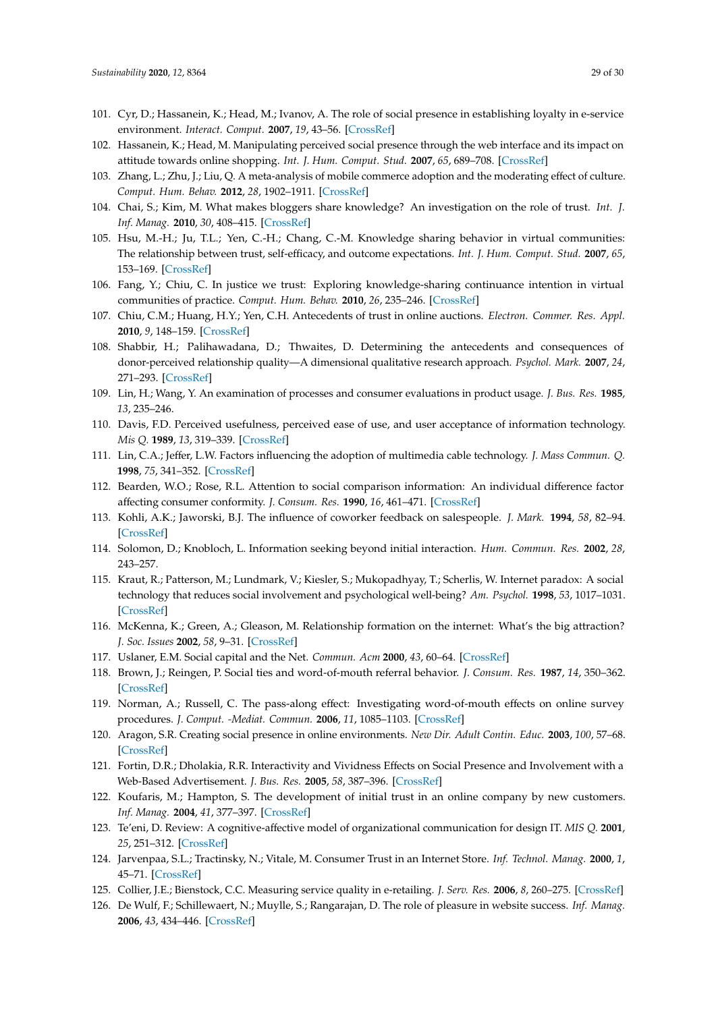- <span id="page-28-23"></span><span id="page-28-22"></span><span id="page-28-20"></span><span id="page-28-17"></span><span id="page-28-0"></span>101. Cyr, D.; Hassanein, K.; Head, M.; Ivanov, A. The role of social presence in establishing loyalty in e-service environment. *Interact. Comput.* **2007**, *19*, 43–56. [\[CrossRef\]](http://dx.doi.org/10.1016/j.intcom.2006.07.010)
- <span id="page-28-10"></span><span id="page-28-1"></span>102. Hassanein, K.; Head, M. Manipulating perceived social presence through the web interface and its impact on attitude towards online shopping. *Int. J. Hum. Comput. Stud.* **2007**, *65*, 689–708. [\[CrossRef\]](http://dx.doi.org/10.1016/j.ijhcs.2006.11.018)
- <span id="page-28-11"></span><span id="page-28-2"></span>103. Zhang, L.; Zhu, J.; Liu, Q. A meta-analysis of mobile commerce adoption and the moderating effect of culture. *Comput. Hum. Behav.* **2012**, *28*, 1902–1911. [\[CrossRef\]](http://dx.doi.org/10.1016/j.chb.2012.05.008)
- <span id="page-28-3"></span>104. Chai, S.; Kim, M. What makes bloggers share knowledge? An investigation on the role of trust. *Int. J. Inf. Manag.* **2010**, *30*, 408–415. [\[CrossRef\]](http://dx.doi.org/10.1016/j.ijinfomgt.2010.02.005)
- <span id="page-28-12"></span><span id="page-28-4"></span>105. Hsu, M.-H.; Ju, T.L.; Yen, C.-H.; Chang, C.-M. Knowledge sharing behavior in virtual communities: The relationship between trust, self-efficacy, and outcome expectations. *Int. J. Hum. Comput. Stud.* **2007**, *65*, 153–169. [\[CrossRef\]](http://dx.doi.org/10.1016/j.ijhcs.2006.09.003)
- <span id="page-28-13"></span><span id="page-28-5"></span>106. Fang, Y.; Chiu, C. In justice we trust: Exploring knowledge-sharing continuance intention in virtual communities of practice. *Comput. Hum. Behav.* **2010**, *26*, 235–246. [\[CrossRef\]](http://dx.doi.org/10.1016/j.chb.2009.09.005)
- <span id="page-28-6"></span>107. Chiu, C.M.; Huang, H.Y.; Yen, C.H. Antecedents of trust in online auctions. *Electron. Commer. Res. Appl.* **2010**, *9*, 148–159. [\[CrossRef\]](http://dx.doi.org/10.1016/j.elerap.2009.04.003)
- <span id="page-28-15"></span><span id="page-28-14"></span><span id="page-28-7"></span>108. Shabbir, H.; Palihawadana, D.; Thwaites, D. Determining the antecedents and consequences of donor-perceived relationship quality—A dimensional qualitative research approach. *Psychol. Mark.* **2007**, *24*, 271–293. [\[CrossRef\]](http://dx.doi.org/10.1002/mar.20161)
- <span id="page-28-16"></span><span id="page-28-8"></span>109. Lin, H.; Wang, Y. An examination of processes and consumer evaluations in product usage. *J. Bus. Res.* **1985**, *13*, 235–246.
- <span id="page-28-18"></span><span id="page-28-9"></span>110. Davis, F.D. Perceived usefulness, perceived ease of use, and user acceptance of information technology. *Mis Q.* **1989**, *13*, 319–339. [\[CrossRef\]](http://dx.doi.org/10.2307/249008)
- <span id="page-28-19"></span>111. Lin, C.A.; Jeffer, L.W. Factors influencing the adoption of multimedia cable technology. *J. Mass Commun. Q.* **1998**, *75*, 341–352. [\[CrossRef\]](http://dx.doi.org/10.1177/107769909807500209)
- <span id="page-28-21"></span>112. Bearden, W.O.; Rose, R.L. Attention to social comparison information: An individual difference factor affecting consumer conformity. *J. Consum. Res.* **1990**, *16*, 461–471. [\[CrossRef\]](http://dx.doi.org/10.1086/209231)
- <span id="page-28-24"></span>113. Kohli, A.K.; Jaworski, B.J. The influence of coworker feedback on salespeople. *J. Mark.* **1994**, *58*, 82–94. [\[CrossRef\]](http://dx.doi.org/10.1177/002224299405800407)
- <span id="page-28-25"></span>114. Solomon, D.; Knobloch, L. Information seeking beyond initial interaction. *Hum. Commun. Res.* **2002**, *28*, 243–257.
- <span id="page-28-26"></span>115. Kraut, R.; Patterson, M.; Lundmark, V.; Kiesler, S.; Mukopadhyay, T.; Scherlis, W. Internet paradox: A social technology that reduces social involvement and psychological well-being? *Am. Psychol.* **1998**, *53*, 1017–1031. [\[CrossRef\]](http://dx.doi.org/10.1037/0003-066X.53.9.1017)
- 116. McKenna, K.; Green, A.; Gleason, M. Relationship formation on the internet: What's the big attraction? *J. Soc. Issues* **2002**, *58*, 9–31. [\[CrossRef\]](http://dx.doi.org/10.1111/1540-4560.00246)
- 117. Uslaner, E.M. Social capital and the Net. *Commun. Acm* **2000**, *43*, 60–64. [\[CrossRef\]](http://dx.doi.org/10.1145/355112.355125)
- 118. Brown, J.; Reingen, P. Social ties and word-of-mouth referral behavior. *J. Consum. Res.* **1987**, *14*, 350–362. [\[CrossRef\]](http://dx.doi.org/10.1086/209118)
- 119. Norman, A.; Russell, C. The pass-along effect: Investigating word-of-mouth effects on online survey procedures. *J. Comput. -Mediat. Commun.* **2006**, *11*, 1085–1103. [\[CrossRef\]](http://dx.doi.org/10.1111/j.1083-6101.2006.00309.x)
- 120. Aragon, S.R. Creating social presence in online environments. *New Dir. Adult Contin. Educ.* **2003**, *100*, 57–68. [\[CrossRef\]](http://dx.doi.org/10.1002/ace.119)
- 121. Fortin, D.R.; Dholakia, R.R. Interactivity and Vividness Effects on Social Presence and Involvement with a Web-Based Advertisement. *J. Bus. Res.* **2005**, *58*, 387–396. [\[CrossRef\]](http://dx.doi.org/10.1016/S0148-2963(03)00106-1)
- 122. Koufaris, M.; Hampton, S. The development of initial trust in an online company by new customers. *Inf. Manag.* **2004**, *41*, 377–397. [\[CrossRef\]](http://dx.doi.org/10.1016/j.im.2003.08.004)
- 123. Te'eni, D. Review: A cognitive-affective model of organizational communication for design IT. *MIS Q.* **2001**, *25*, 251–312. [\[CrossRef\]](http://dx.doi.org/10.2307/3250931)
- 124. Jarvenpaa, S.L.; Tractinsky, N.; Vitale, M. Consumer Trust in an Internet Store. *Inf. Technol. Manag.* **2000**, *1*, 45–71. [\[CrossRef\]](http://dx.doi.org/10.1023/A:1019104520776)
- 125. Collier, J.E.; Bienstock, C.C. Measuring service quality in e-retailing. *J. Serv. Res.* **2006**, *8*, 260–275. [\[CrossRef\]](http://dx.doi.org/10.1177/1094670505278867)
- 126. De Wulf, F.; Schillewaert, N.; Muylle, S.; Rangarajan, D. The role of pleasure in website success. *Inf. Manag.* **2006**, *43*, 434–446. [\[CrossRef\]](http://dx.doi.org/10.1016/j.im.2005.10.005)